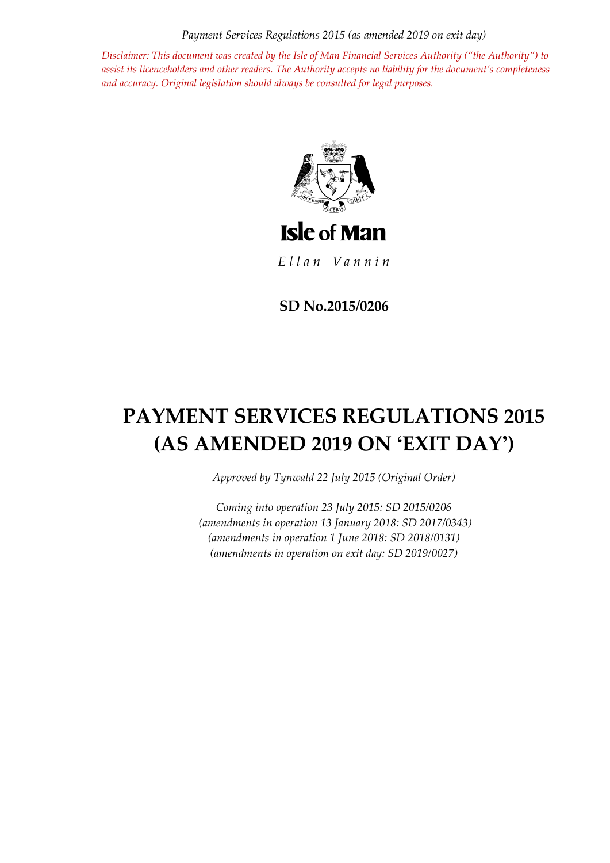*Payment Services Regulations 2015 (as amended 2019 on exit day)*

*Disclaimer: This document was created by the Isle of Man Financial Services Authority ("the Authority") to assist its licenceholders and other readers. The Authority accepts no liability for the document's completeness and accuracy. Original legislation should always be consulted for legal purposes.*



Ellan Vannin

**SD No.2015/0206**

# **PAYMENT SERVICES REGULATIONS 2015 (AS AMENDED 2019 ON 'EXIT DAY')**

*Approved by Tynwald 22 July 2015 (Original Order)*

*Coming into operation 23 July 2015: SD 2015/0206 (amendments in operation 13 January 2018: SD 2017/0343) (amendments in operation 1 June 2018: SD 2018/0131) (amendments in operation on exit day: SD 2019/0027)*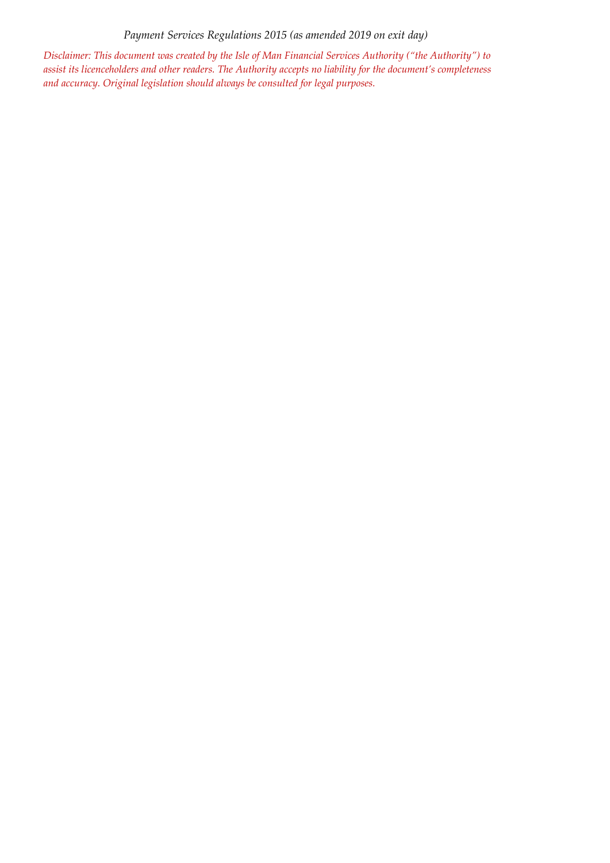*Payment Services Regulations 2015 (as amended 2019 on exit day)*

*Disclaimer: This document was created by the Isle of Man Financial Services Authority ("the Authority") to assist its licenceholders and other readers. The Authority accepts no liability for the document's completeness and accuracy. Original legislation should always be consulted for legal purposes.*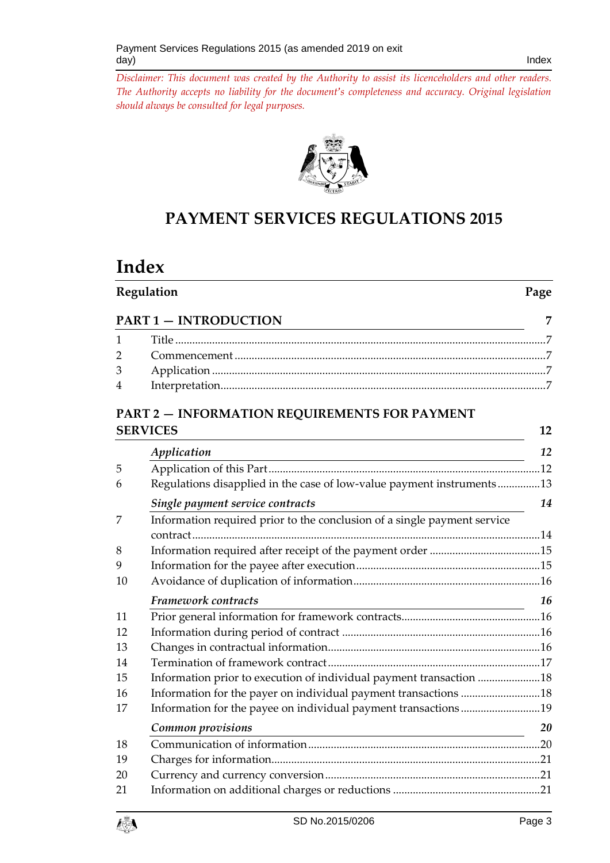

# **PAYMENT SERVICES REGULATIONS 2015**

# **Index**

|                              | Regulation                                                               |    |
|------------------------------|--------------------------------------------------------------------------|----|
| <b>PART 1 - INTRODUCTION</b> |                                                                          |    |
| 1                            |                                                                          |    |
| $\overline{2}$               |                                                                          |    |
| 3                            |                                                                          |    |
| 4                            |                                                                          |    |
|                              | <b>PART 2 - INFORMATION REQUIREMENTS FOR PAYMENT</b>                     |    |
|                              | <b>SERVICES</b>                                                          | 12 |
|                              | Application                                                              | 12 |
| 5                            |                                                                          |    |
| 6                            | Regulations disapplied in the case of low-value payment instruments13    |    |
|                              | Single payment service contracts                                         | 14 |
| 7                            | Information required prior to the conclusion of a single payment service |    |
| 8                            |                                                                          |    |
| 9                            |                                                                          |    |
| 10                           |                                                                          |    |
|                              | Framework contracts                                                      | 16 |
| 11                           |                                                                          |    |
| 12                           |                                                                          |    |
| 13                           |                                                                          |    |
| 14                           |                                                                          |    |
| 15                           | Information prior to execution of individual payment transaction 18      |    |
| 16                           | Information for the payer on individual payment transactions 18          |    |
| 17                           | Information for the payee on individual payment transactions19           |    |
|                              | Common provisions                                                        | 20 |
| 1 <sup>Q</sup>               | Communication of information                                             | ንበ |

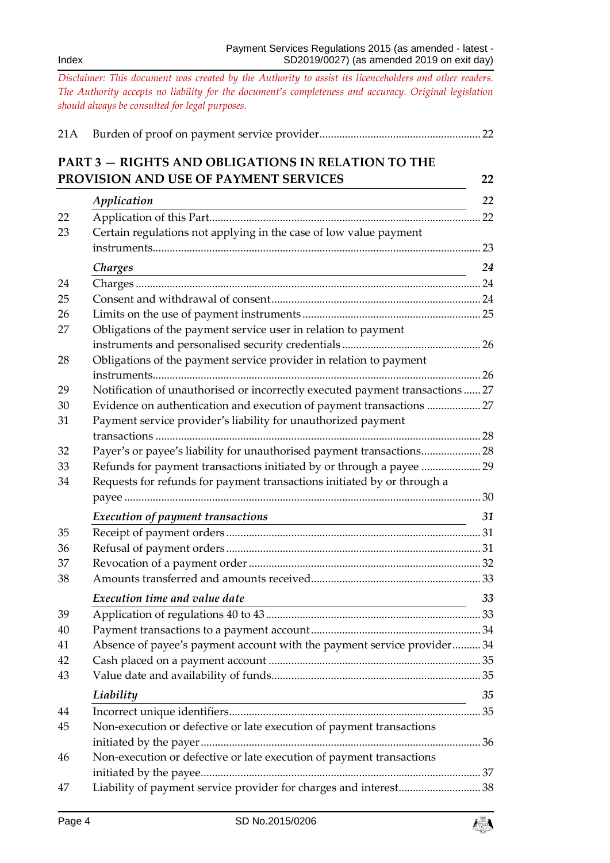|    | <b>PART 3 - RIGHTS AND OBLIGATIONS IN RELATION TO THE</b><br>PROVISION AND USE OF PAYMENT SERVICES                                | 22 |
|----|-----------------------------------------------------------------------------------------------------------------------------------|----|
|    | Application                                                                                                                       | 22 |
| 22 | <u> 1980 - Johann Stoff, deutscher Stoffen und der Stoffen und der Stoffen und der Stoffen und der Stoffen und der</u>            |    |
| 23 | Certain regulations not applying in the case of low value payment                                                                 |    |
|    |                                                                                                                                   |    |
|    | Charges<br><u> 1989 - Johann Stoff, deutscher Stoffen und der Stoffen und der Stoffen und der Stoffen und der Stoffen und der</u> | 24 |
| 24 |                                                                                                                                   |    |
| 25 |                                                                                                                                   |    |
| 26 |                                                                                                                                   |    |
| 27 | Obligations of the payment service user in relation to payment                                                                    |    |
|    |                                                                                                                                   |    |
| 28 | Obligations of the payment service provider in relation to payment                                                                |    |
|    |                                                                                                                                   |    |
| 29 | Notification of unauthorised or incorrectly executed payment transactions  27                                                     |    |
| 30 | Evidence on authentication and execution of payment transactions  27                                                              |    |
| 31 | Payment service provider's liability for unauthorized payment                                                                     |    |
|    |                                                                                                                                   |    |
| 32 | Payer's or payee's liability for unauthorised payment transactions 28                                                             |    |
| 33 |                                                                                                                                   |    |
| 34 | Requests for refunds for payment transactions initiated by or through a                                                           |    |
|    |                                                                                                                                   |    |
|    | Execution of payment transactions                                                                                                 | 31 |
| 35 |                                                                                                                                   |    |
| 36 |                                                                                                                                   |    |
| 37 |                                                                                                                                   |    |
| 38 |                                                                                                                                   |    |
|    | Execution time and value date                                                                                                     | 33 |
| 39 |                                                                                                                                   |    |
| 40 |                                                                                                                                   |    |
| 41 | Absence of payee's payment account with the payment service provider 34                                                           |    |
| 42 |                                                                                                                                   |    |
| 43 |                                                                                                                                   |    |
|    | Liability<br><u> 1980 - Johann Barn, amerikansk politiker (</u>                                                                   | 35 |
| 44 |                                                                                                                                   |    |
| 45 | Non-execution or defective or late execution of payment transactions                                                              |    |
|    |                                                                                                                                   |    |
| 46 | Non-execution or defective or late execution of payment transactions                                                              |    |
|    |                                                                                                                                   |    |
| 47 | Liability of payment service provider for charges and interest38                                                                  |    |

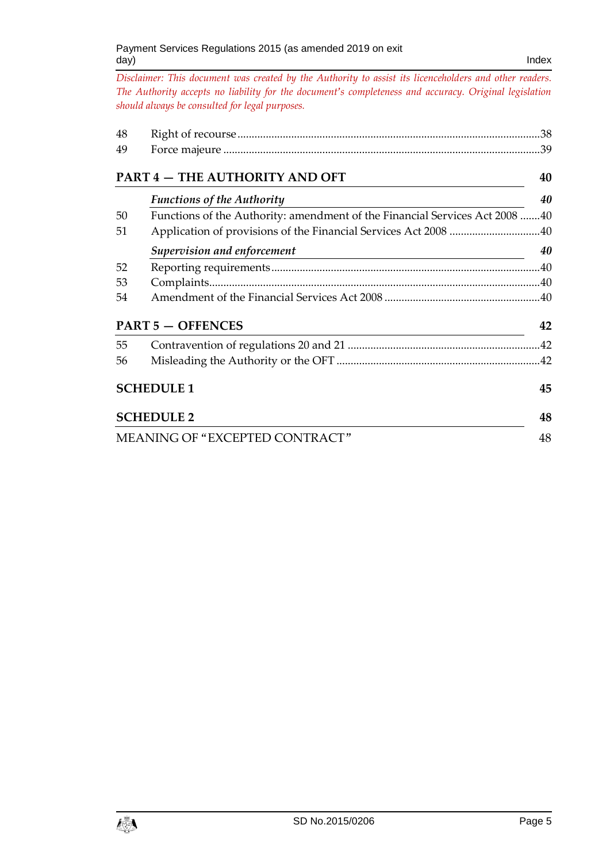| 48       |                                                                                       |    |
|----------|---------------------------------------------------------------------------------------|----|
| 49       |                                                                                       |    |
|          | PART 4 - THE AUTHORITY AND OFT                                                        | 40 |
|          | <b>Functions of the Authority</b>                                                     | 40 |
| 50<br>51 | Functions of the Authority: amendment of the Financial Services Act 2008 40           |    |
|          | Supervision and enforcement                                                           | 40 |
| 52       |                                                                                       |    |
| 53       |                                                                                       |    |
| 54       |                                                                                       |    |
|          | <b>PART 5 - OFFENCES</b><br><u> 1980 - Johann Barnett, fransk politiker (d. 1980)</u> | 42 |
| 55       |                                                                                       |    |
| 56       |                                                                                       |    |
|          | <b>SCHEDULE 1</b>                                                                     | 45 |
|          | <b>SCHEDULE 2</b>                                                                     | 48 |
|          | MEANING OF "EXCEPTED CONTRACT"                                                        | 48 |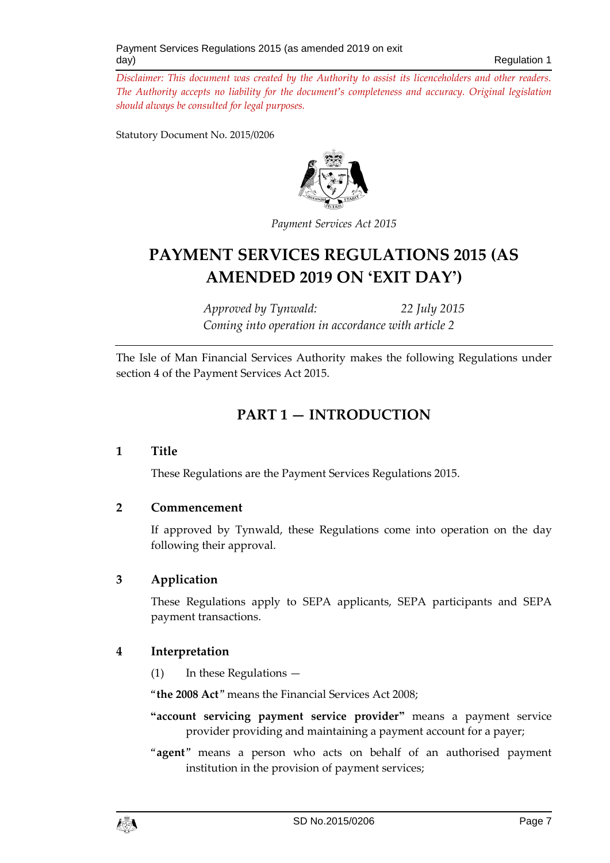Statutory Document No. 2015/0206



*Payment Services Act 2015*

# **PAYMENT SERVICES REGULATIONS 2015 (AS AMENDED 2019 ON 'EXIT DAY')**

*Approved by Tynwald: 22 July 2015 Coming into operation in accordance with article 2*

<span id="page-6-0"></span>The Isle of Man Financial Services Authority makes the following Regulations under section 4 of the Payment Services Act 2015.

# **PART 1 — INTRODUCTION**

## <span id="page-6-1"></span>**1 Title**

These Regulations are the Payment Services Regulations 2015.

#### <span id="page-6-2"></span>**2 Commencement**

If approved by Tynwald, these Regulations come into operation on the day following their approval.

## <span id="page-6-3"></span>**3 Application**

These Regulations apply to SEPA applicants, SEPA participants and SEPA payment transactions.

## <span id="page-6-4"></span>**4 Interpretation**

(1) In these Regulations —

"**the 2008 Act**" means the Financial Services Act 2008;

- **"account servicing payment service provider"** means a payment service provider providing and maintaining a payment account for a payer;
- "**agent**" means a person who acts on behalf of an authorised payment institution in the provision of payment services;

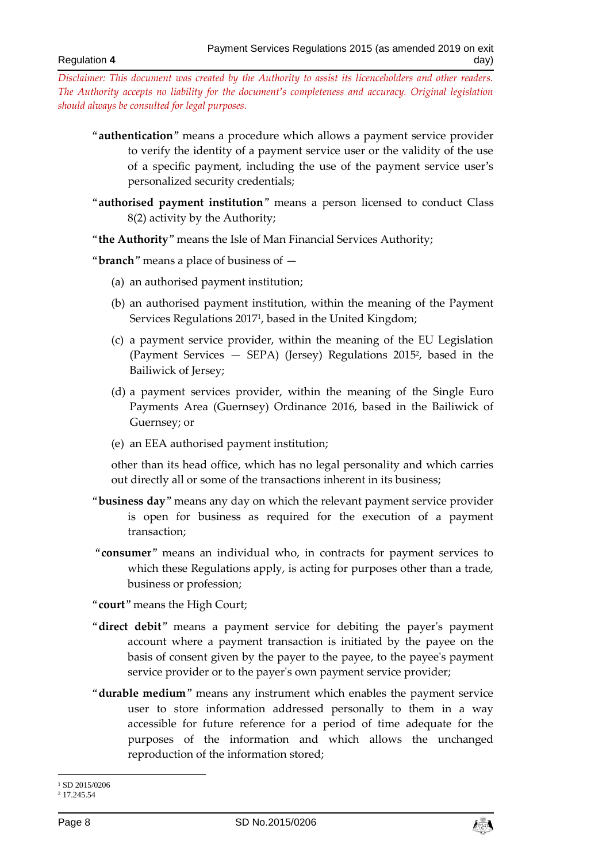- "**authentication**" means a procedure which allows a payment service provider to verify the identity of a payment service user or the validity of the use of a specific payment, including the use of the payment service user's personalized security credentials;
- "**authorised payment institution**" means a person licensed to conduct Class 8(2) activity by the Authority;
- "**the Authority**" means the Isle of Man Financial Services Authority;
- "**branch**" means a place of business of
	- (a) an authorised payment institution;
	- (b) an authorised payment institution, within the meaning of the Payment Services Regulations 2017<sup>1</sup> , based in the United Kingdom;
	- (c) a payment service provider, within the meaning of the EU Legislation (Payment Services — SEPA) (Jersey) Regulations 2015<sup>2</sup> , based in the Bailiwick of Jersey;
	- (d) a payment services provider, within the meaning of the Single Euro Payments Area (Guernsey) Ordinance 2016, based in the Bailiwick of Guernsey; or
	- (e) an EEA authorised payment institution;

other than its head office, which has no legal personality and which carries out directly all or some of the transactions inherent in its business;

- "**business day**" means any day on which the relevant payment service provider is open for business as required for the execution of a payment transaction;
- "**consumer**" means an individual who, in contracts for payment services to which these Regulations apply, is acting for purposes other than a trade, business or profession;
- "**court**" means the High Court;
- "**direct debit**" means a payment service for debiting the payer's payment account where a payment transaction is initiated by the payee on the basis of consent given by the payer to the payee, to the payee's payment service provider or to the payer's own payment service provider;
- "**durable medium**" means any instrument which enables the payment service user to store information addressed personally to them in a way accessible for future reference for a period of time adequate for the purposes of the information and which allows the unchanged reproduction of the information stored;



<sup>-</sup><sup>1</sup> SD 2015/0206

<sup>2</sup> 17.245.54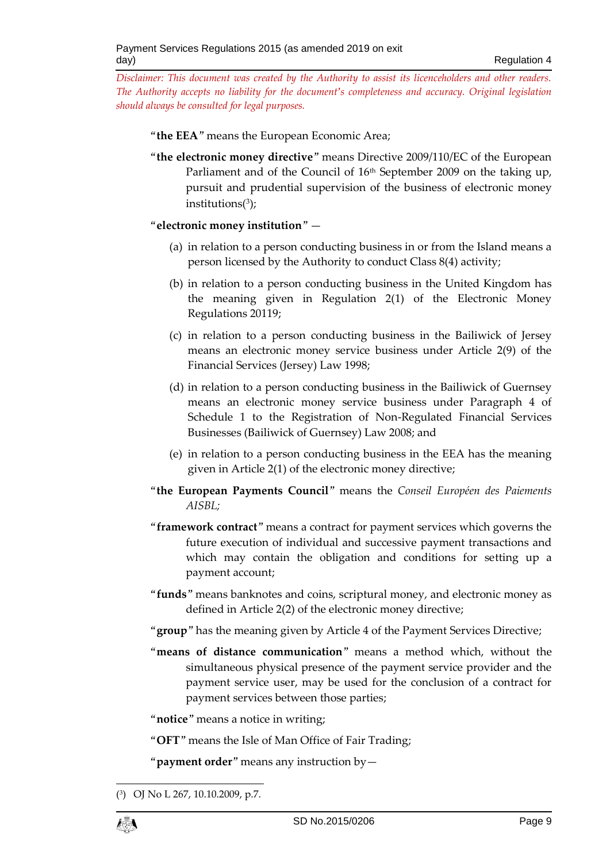"**the EEA**" means the European Economic Area;

"**the electronic money directive**" means Directive 2009/110/EC of the European Parliament and of the Council of 16<sup>th</sup> September 2009 on the taking up, pursuit and prudential supervision of the business of electronic money institutions(<sup>3</sup> );

"**electronic money institution**" —

- (a) in relation to a person conducting business in or from the Island means a person licensed by the Authority to conduct Class 8(4) activity;
- (b) in relation to a person conducting business in the United Kingdom has the meaning given in Regulation 2(1) of the Electronic Money Regulations 20119;
- (c) in relation to a person conducting business in the Bailiwick of Jersey means an electronic money service business under Article 2(9) of the Financial Services (Jersey) Law 1998;
- (d) in relation to a person conducting business in the Bailiwick of Guernsey means an electronic money service business under Paragraph 4 of Schedule 1 to the Registration of Non-Regulated Financial Services Businesses (Bailiwick of Guernsey) Law 2008; and
- (e) in relation to a person conducting business in the EEA has the meaning given in Article 2(1) of the electronic money directive;
- "**the European Payments Council**" means the *Conseil Européen des Paiements AISBL;*
- "**framework contract**" means a contract for payment services which governs the future execution of individual and successive payment transactions and which may contain the obligation and conditions for setting up a payment account;
- "**funds**" means banknotes and coins, scriptural money, and electronic money as defined in Article 2(2) of the electronic money directive;
- "**group**" has the meaning given by Article 4 of the Payment Services Directive;
- "**means of distance communication**" means a method which, without the simultaneous physical presence of the payment service provider and the payment service user, may be used for the conclusion of a contract for payment services between those parties;

"**notice**" means a notice in writing;

"**OFT**" means the Isle of Man Office of Fair Trading;

"**payment order**" means any instruction by—

<sup>1</sup> ( 3 ) OJ No L 267, 10.10.2009, p.7.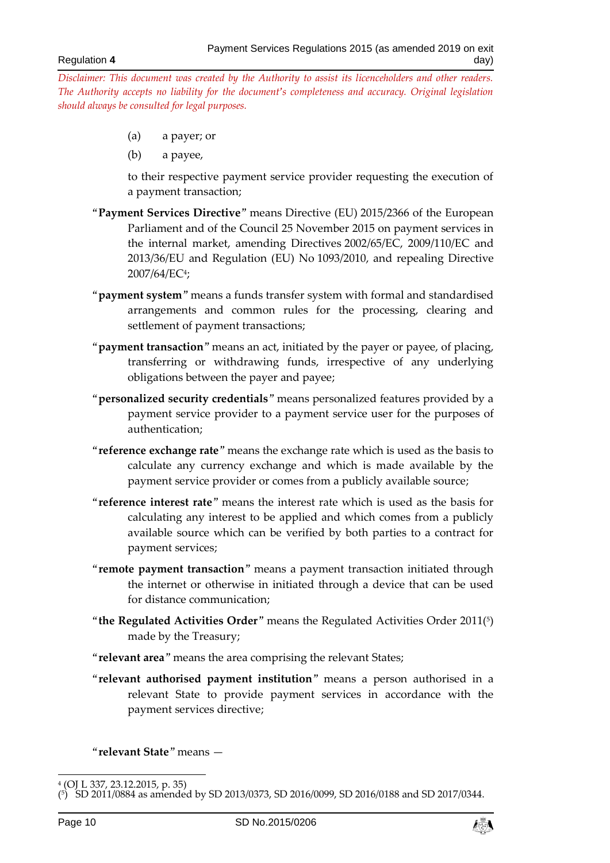- (a) a payer; or
- (b) a payee,

to their respective payment service provider requesting the execution of a payment transaction;

- "**Payment Services Directive**" means Directive (EU) 2015/2366 of the European Parliament and of the Council 25 November 2015 on payment services in the internal market, amending Directives 2002/65/EC, 2009/110/EC and 2013/36/EU and Regulation (EU) No 1093/2010, and repealing Directive 2007/64/EC<sup>4</sup> ;
- "**payment system**" means a funds transfer system with formal and standardised arrangements and common rules for the processing, clearing and settlement of payment transactions;
- "**payment transaction**" means an act, initiated by the payer or payee, of placing, transferring or withdrawing funds, irrespective of any underlying obligations between the payer and payee;
- "**personalized security credentials**" means personalized features provided by a payment service provider to a payment service user for the purposes of authentication;
- "**reference exchange rate**" means the exchange rate which is used as the basis to calculate any currency exchange and which is made available by the payment service provider or comes from a publicly available source;
- "**reference interest rate**" means the interest rate which is used as the basis for calculating any interest to be applied and which comes from a publicly available source which can be verified by both parties to a contract for payment services;
- "**remote payment transaction**" means a payment transaction initiated through the internet or otherwise in initiated through a device that can be used for distance communication;
- "**the Regulated Activities Order**" means the Regulated Activities Order 2011( 5 ) made by the Treasury;
- "**relevant area**" means the area comprising the relevant States;
- "**relevant authorised payment institution**" means a person authorised in a relevant State to provide payment services in accordance with the payment services directive;

"**relevant State**" means —



 4 (OJ L 337, 23.12.2015, p. 35)

<sup>(</sup> 5 ) SD 2011/0884 as amended by SD 2013/0373, SD 2016/0099, SD 2016/0188 and SD 2017/0344.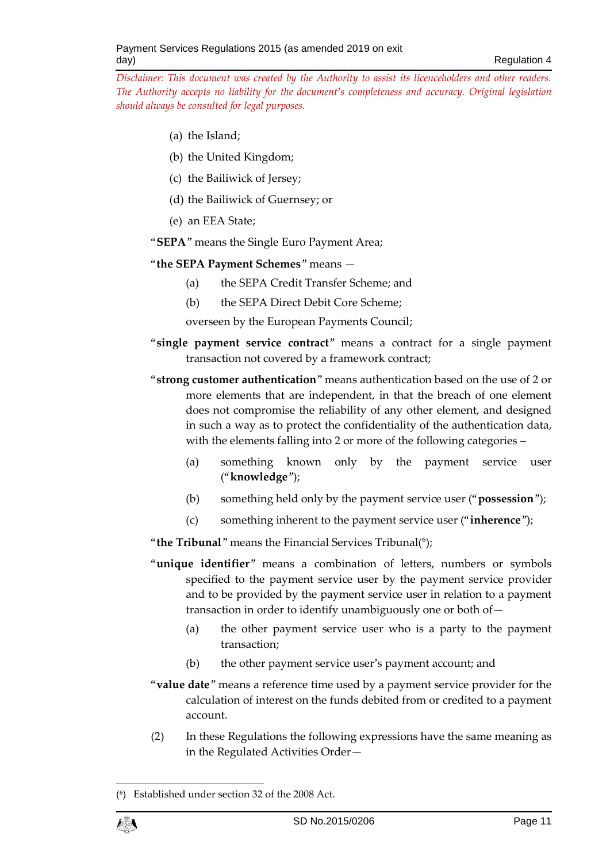- (a) the Island;
- (b) the United Kingdom;
- (c) the Bailiwick of Jersey;
- (d) the Bailiwick of Guernsey; or
- (e) an EEA State;

#### "**SEPA**" means the Single Euro Payment Area;

#### "**the SEPA Payment Schemes**" means —

- (a) the SEPA Credit Transfer Scheme; and
- (b) the SEPA Direct Debit Core Scheme;

overseen by the European Payments Council;

- "**single payment service contract**" means a contract for a single payment transaction not covered by a framework contract;
- "**strong customer authentication**" means authentication based on the use of 2 or more elements that are independent, in that the breach of one element does not compromise the reliability of any other element, and designed in such a way as to protect the confidentiality of the authentication data, with the elements falling into 2 or more of the following categories –
	- (a) something known only by the payment service user ("**knowledge**");
	- (b) something held only by the payment service user ("**possession**");
	- (c) something inherent to the payment service user ("**inherence**");

"**the Tribunal**" means the Financial Services Tribunal(<sup>6</sup> );

- "**unique identifier**" means a combination of letters, numbers or symbols specified to the payment service user by the payment service provider and to be provided by the payment service user in relation to a payment transaction in order to identify unambiguously one or both of—
	- (a) the other payment service user who is a party to the payment transaction;
	- (b) the other payment service user's payment account; and
- "**value date**" means a reference time used by a payment service provider for the calculation of interest on the funds debited from or credited to a payment account.
- (2) In these Regulations the following expressions have the same meaning as in the Regulated Activities Order—

<sup>1</sup> ( 6 ) Established under section 32 of the 2008 Act.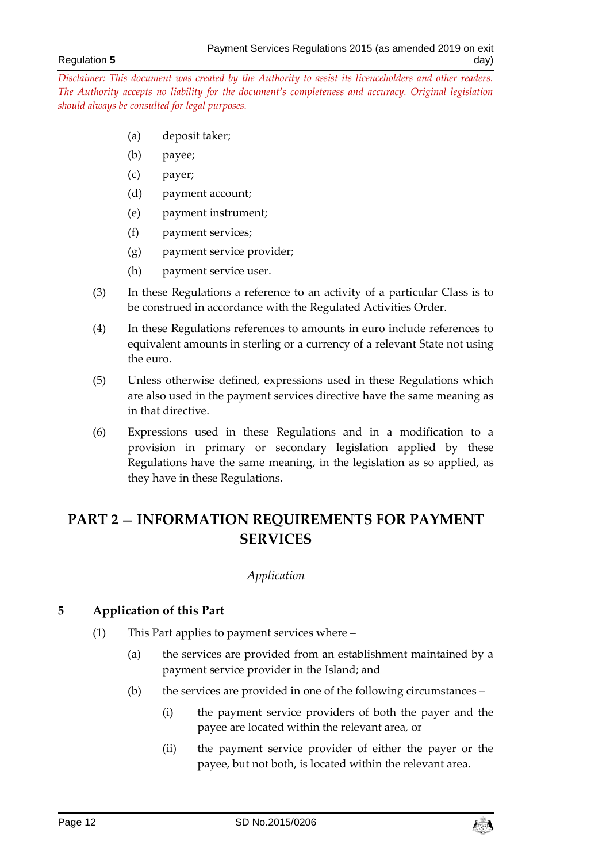- (a) deposit taker;
- (b) payee;
- (c) payer;
- (d) payment account;
- (e) payment instrument;
- (f) payment services;
- (g) payment service provider;
- (h) payment service user.
- (3) In these Regulations a reference to an activity of a particular Class is to be construed in accordance with the Regulated Activities Order.
- (4) In these Regulations references to amounts in euro include references to equivalent amounts in sterling or a currency of a relevant State not using the euro.
- (5) Unless otherwise defined, expressions used in these Regulations which are also used in the payment services directive have the same meaning as in that directive.
- (6) Expressions used in these Regulations and in a modification to a provision in primary or secondary legislation applied by these Regulations have the same meaning, in the legislation as so applied, as they have in these Regulations.

# <span id="page-11-1"></span><span id="page-11-0"></span>**PART 2 — INFORMATION REQUIREMENTS FOR PAYMENT SERVICES**

#### *Application*

## <span id="page-11-2"></span>**5 Application of this Part**

- (1) This Part applies to payment services where
	- (a) the services are provided from an establishment maintained by a payment service provider in the Island; and
	- (b) the services are provided in one of the following circumstances
		- (i) the payment service providers of both the payer and the payee are located within the relevant area, or
		- (ii) the payment service provider of either the payer or the payee, but not both, is located within the relevant area.

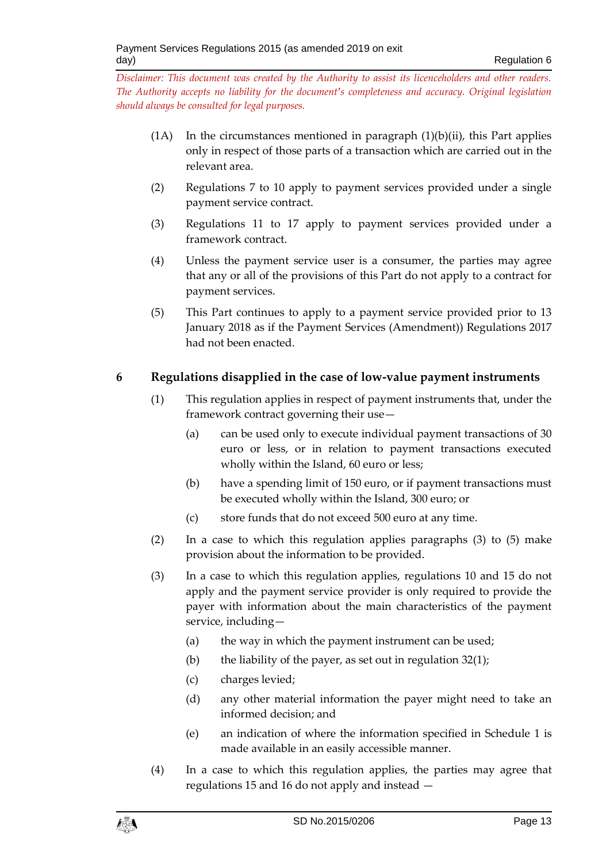- $(1)$  In the circumstances mentioned in paragraph  $(1)(b)(ii)$ , this Part applies only in respect of those parts of a transaction which are carried out in the relevant area.
- (2) Regulations 7 to 10 apply to payment services provided under a single payment service contract.
- (3) Regulations 11 to 17 apply to payment services provided under a framework contract.
- (4) Unless the payment service user is a consumer, the parties may agree that any or all of the provisions of this Part do not apply to a contract for payment services.
- (5) This Part continues to apply to a payment service provided prior to 13 January 2018 as if the Payment Services (Amendment)) Regulations 2017 had not been enacted.

# <span id="page-12-0"></span>**6 Regulations disapplied in the case of low-value payment instruments**

- (1) This regulation applies in respect of payment instruments that, under the framework contract governing their use—
	- (a) can be used only to execute individual payment transactions of 30 euro or less, or in relation to payment transactions executed wholly within the Island, 60 euro or less;
	- (b) have a spending limit of 150 euro, or if payment transactions must be executed wholly within the Island, 300 euro; or
	- (c) store funds that do not exceed 500 euro at any time.
- (2) In a case to which this regulation applies paragraphs (3) to (5) make provision about the information to be provided.
- (3) In a case to which this regulation applies, regulations 10 and 15 do not apply and the payment service provider is only required to provide the payer with information about the main characteristics of the payment service, including—
	- (a) the way in which the payment instrument can be used;
	- (b) the liability of the payer, as set out in regulation  $32(1)$ ;
	- (c) charges levied;
	- (d) any other material information the payer might need to take an informed decision; and
	- (e) an indication of where the information specified in Schedule 1 is made available in an easily accessible manner.
- (4) In a case to which this regulation applies, the parties may agree that regulations 15 and 16 do not apply and instead —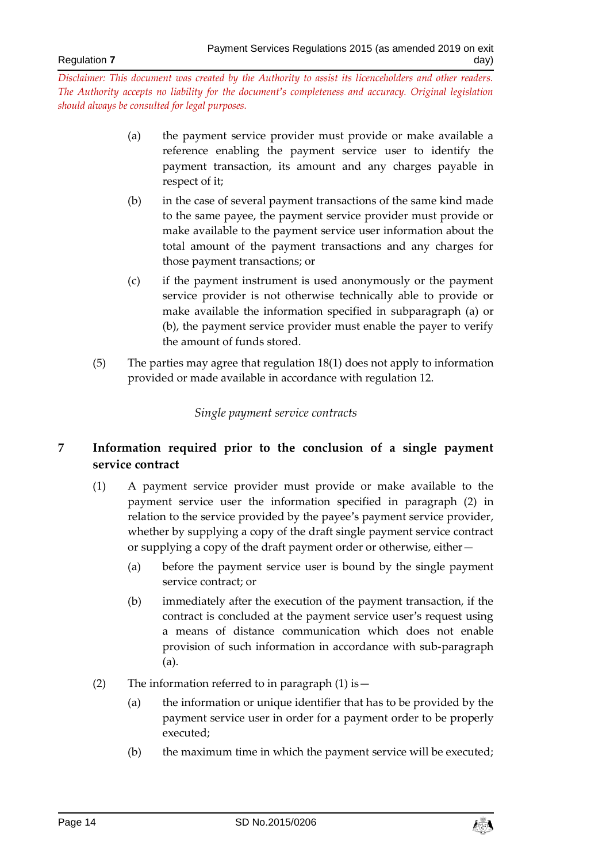- (a) the payment service provider must provide or make available a reference enabling the payment service user to identify the payment transaction, its amount and any charges payable in respect of it;
- (b) in the case of several payment transactions of the same kind made to the same payee, the payment service provider must provide or make available to the payment service user information about the total amount of the payment transactions and any charges for those payment transactions; or
- (c) if the payment instrument is used anonymously or the payment service provider is not otherwise technically able to provide or make available the information specified in subparagraph (a) or (b), the payment service provider must enable the payer to verify the amount of funds stored.
- <span id="page-13-0"></span>(5) The parties may agree that regulation 18(1) does not apply to information provided or made available in accordance with regulation 12.

## *Single payment service contracts*

# <span id="page-13-1"></span>**7 Information required prior to the conclusion of a single payment service contract**

- (1) A payment service provider must provide or make available to the payment service user the information specified in paragraph (2) in relation to the service provided by the payee's payment service provider, whether by supplying a copy of the draft single payment service contract or supplying a copy of the draft payment order or otherwise, either—
	- (a) before the payment service user is bound by the single payment service contract; or
	- (b) immediately after the execution of the payment transaction, if the contract is concluded at the payment service user's request using a means of distance communication which does not enable provision of such information in accordance with sub-paragraph (a).
- (2) The information referred to in paragraph  $(1)$  is  $-$ 
	- (a) the information or unique identifier that has to be provided by the payment service user in order for a payment order to be properly executed;
	- (b) the maximum time in which the payment service will be executed;

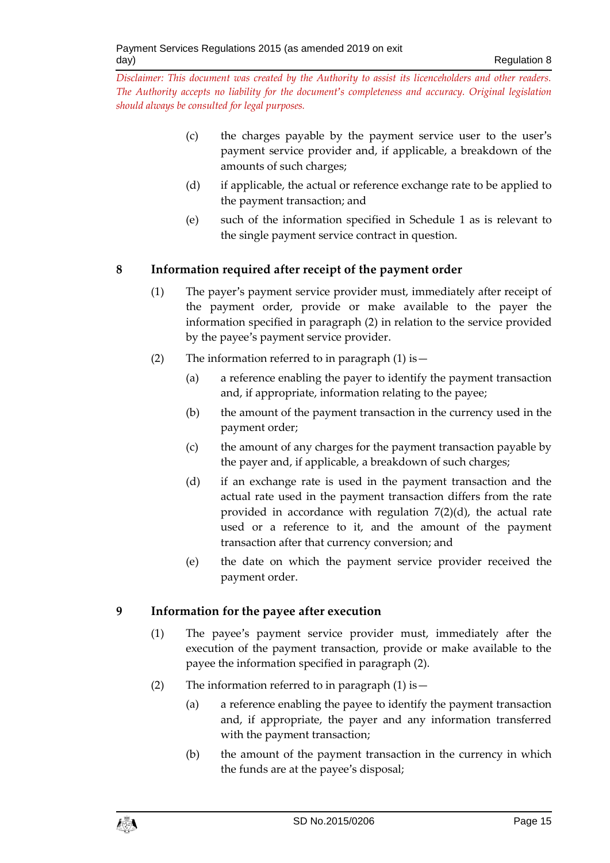- (c) the charges payable by the payment service user to the user's payment service provider and, if applicable, a breakdown of the amounts of such charges;
- (d) if applicable, the actual or reference exchange rate to be applied to the payment transaction; and
- (e) such of the information specified in Schedule 1 as is relevant to the single payment service contract in question.

# <span id="page-14-0"></span>**8 Information required after receipt of the payment order**

- (1) The payer's payment service provider must, immediately after receipt of the payment order, provide or make available to the payer the information specified in paragraph (2) in relation to the service provided by the payee's payment service provider.
- (2) The information referred to in paragraph  $(1)$  is  $-$ 
	- (a) a reference enabling the payer to identify the payment transaction and, if appropriate, information relating to the payee;
	- (b) the amount of the payment transaction in the currency used in the payment order;
	- (c) the amount of any charges for the payment transaction payable by the payer and, if applicable, a breakdown of such charges;
	- (d) if an exchange rate is used in the payment transaction and the actual rate used in the payment transaction differs from the rate provided in accordance with regulation 7(2)(d), the actual rate used or a reference to it, and the amount of the payment transaction after that currency conversion; and
	- (e) the date on which the payment service provider received the payment order.

# <span id="page-14-1"></span>**9 Information for the payee after execution**

- (1) The payee's payment service provider must, immediately after the execution of the payment transaction, provide or make available to the payee the information specified in paragraph (2).
- (2) The information referred to in paragraph  $(1)$  is  $-$ 
	- (a) a reference enabling the payee to identify the payment transaction and, if appropriate, the payer and any information transferred with the payment transaction;
	- (b) the amount of the payment transaction in the currency in which the funds are at the payee's disposal;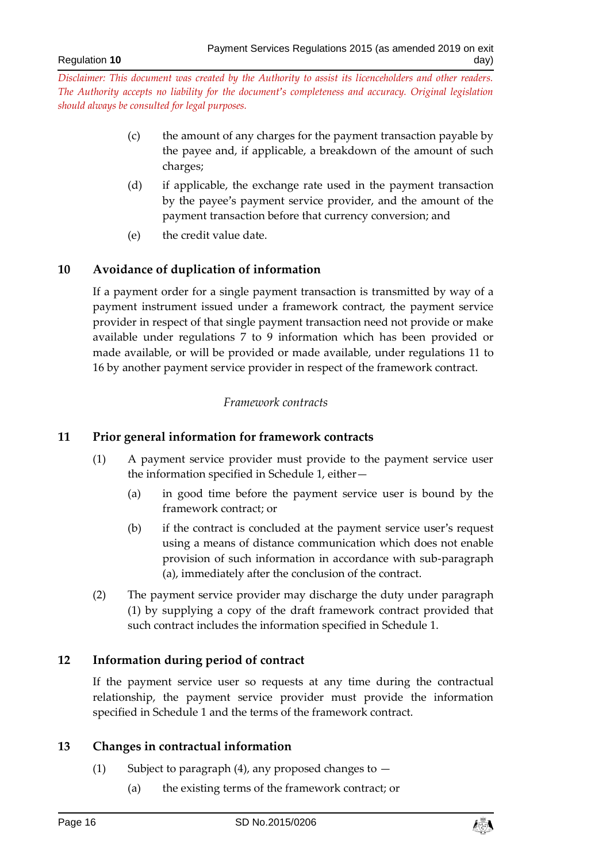- (c) the amount of any charges for the payment transaction payable by the payee and, if applicable, a breakdown of the amount of such charges;
- (d) if applicable, the exchange rate used in the payment transaction by the payee's payment service provider, and the amount of the payment transaction before that currency conversion; and
- (e) the credit value date.

## <span id="page-15-0"></span>**10 Avoidance of duplication of information**

If a payment order for a single payment transaction is transmitted by way of a payment instrument issued under a framework contract, the payment service provider in respect of that single payment transaction need not provide or make available under regulations 7 to 9 information which has been provided or made available, or will be provided or made available, under regulations 11 to 16 by another payment service provider in respect of the framework contract.

## *Framework contracts*

## <span id="page-15-2"></span><span id="page-15-1"></span>**11 Prior general information for framework contracts**

- (1) A payment service provider must provide to the payment service user the information specified in Schedule 1, either—
	- (a) in good time before the payment service user is bound by the framework contract; or
	- (b) if the contract is concluded at the payment service user's request using a means of distance communication which does not enable provision of such information in accordance with sub-paragraph (a), immediately after the conclusion of the contract.
- (2) The payment service provider may discharge the duty under paragraph (1) by supplying a copy of the draft framework contract provided that such contract includes the information specified in Schedule 1.

## <span id="page-15-3"></span>**12 Information during period of contract**

If the payment service user so requests at any time during the contractual relationship, the payment service provider must provide the information specified in Schedule 1 and the terms of the framework contract.

## <span id="page-15-4"></span>**13 Changes in contractual information**

- (1) Subject to paragraph (4), any proposed changes to  $-$ 
	- (a) the existing terms of the framework contract; or

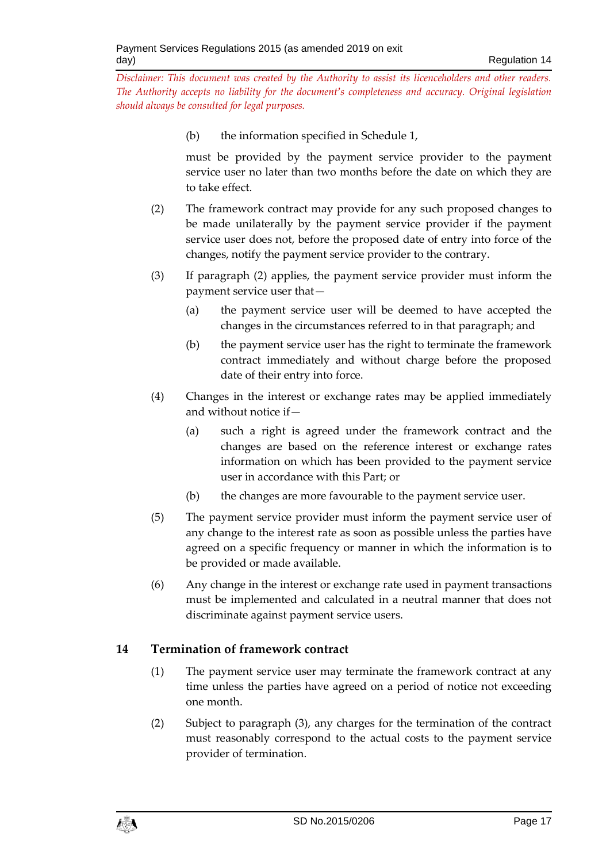(b) the information specified in Schedule 1,

must be provided by the payment service provider to the payment service user no later than two months before the date on which they are to take effect.

- (2) The framework contract may provide for any such proposed changes to be made unilaterally by the payment service provider if the payment service user does not, before the proposed date of entry into force of the changes, notify the payment service provider to the contrary.
- (3) If paragraph (2) applies, the payment service provider must inform the payment service user that—
	- (a) the payment service user will be deemed to have accepted the changes in the circumstances referred to in that paragraph; and
	- (b) the payment service user has the right to terminate the framework contract immediately and without charge before the proposed date of their entry into force.
- (4) Changes in the interest or exchange rates may be applied immediately and without notice if—
	- (a) such a right is agreed under the framework contract and the changes are based on the reference interest or exchange rates information on which has been provided to the payment service user in accordance with this Part; or
	- (b) the changes are more favourable to the payment service user.
- (5) The payment service provider must inform the payment service user of any change to the interest rate as soon as possible unless the parties have agreed on a specific frequency or manner in which the information is to be provided or made available.
- (6) Any change in the interest or exchange rate used in payment transactions must be implemented and calculated in a neutral manner that does not discriminate against payment service users.

## <span id="page-16-0"></span>**14 Termination of framework contract**

- (1) The payment service user may terminate the framework contract at any time unless the parties have agreed on a period of notice not exceeding one month.
- (2) Subject to paragraph (3), any charges for the termination of the contract must reasonably correspond to the actual costs to the payment service provider of termination.

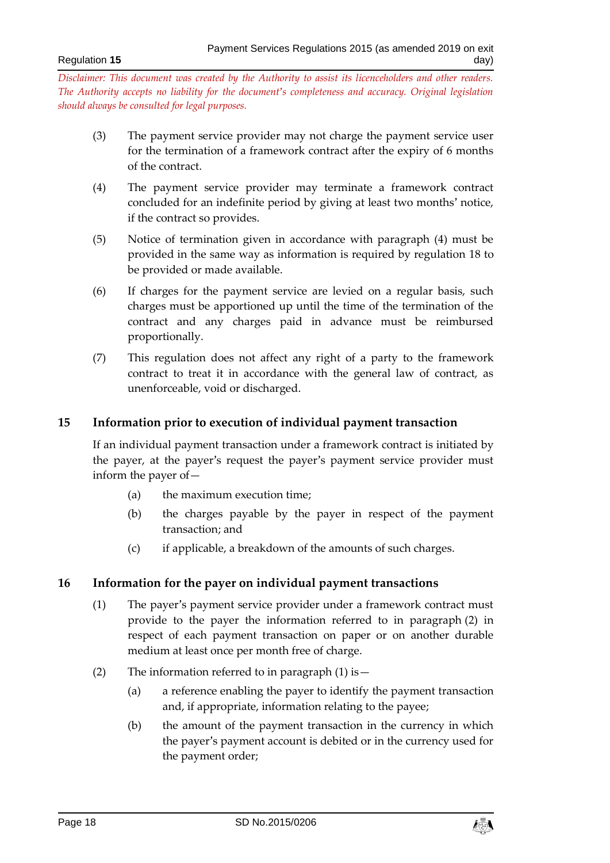- (3) The payment service provider may not charge the payment service user for the termination of a framework contract after the expiry of 6 months of the contract.
- (4) The payment service provider may terminate a framework contract concluded for an indefinite period by giving at least two months' notice, if the contract so provides.
- (5) Notice of termination given in accordance with paragraph (4) must be provided in the same way as information is required by regulation 18 to be provided or made available.
- (6) If charges for the payment service are levied on a regular basis, such charges must be apportioned up until the time of the termination of the contract and any charges paid in advance must be reimbursed proportionally.
- (7) This regulation does not affect any right of a party to the framework contract to treat it in accordance with the general law of contract, as unenforceable, void or discharged.

## <span id="page-17-0"></span>**15 Information prior to execution of individual payment transaction**

If an individual payment transaction under a framework contract is initiated by the payer, at the payer's request the payer's payment service provider must inform the payer of—

- (a) the maximum execution time;
- (b) the charges payable by the payer in respect of the payment transaction; and
- (c) if applicable, a breakdown of the amounts of such charges.

## <span id="page-17-1"></span>**16 Information for the payer on individual payment transactions**

- (1) The payer's payment service provider under a framework contract must provide to the payer the information referred to in paragraph (2) in respect of each payment transaction on paper or on another durable medium at least once per month free of charge.
- (2) The information referred to in paragraph  $(1)$  is  $-$ 
	- (a) a reference enabling the payer to identify the payment transaction and, if appropriate, information relating to the payee;
	- (b) the amount of the payment transaction in the currency in which the payer's payment account is debited or in the currency used for the payment order;

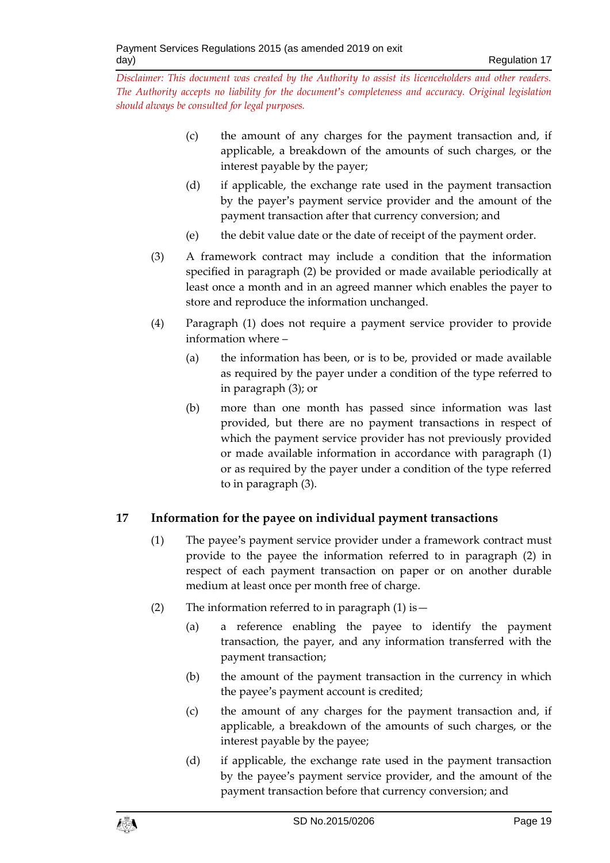- (c) the amount of any charges for the payment transaction and, if applicable, a breakdown of the amounts of such charges, or the interest payable by the payer;
- (d) if applicable, the exchange rate used in the payment transaction by the payer's payment service provider and the amount of the payment transaction after that currency conversion; and
- (e) the debit value date or the date of receipt of the payment order.
- (3) A framework contract may include a condition that the information specified in paragraph (2) be provided or made available periodically at least once a month and in an agreed manner which enables the payer to store and reproduce the information unchanged.
- (4) Paragraph (1) does not require a payment service provider to provide information where –
	- (a) the information has been, or is to be, provided or made available as required by the payer under a condition of the type referred to in paragraph (3); or
	- (b) more than one month has passed since information was last provided, but there are no payment transactions in respect of which the payment service provider has not previously provided or made available information in accordance with paragraph (1) or as required by the payer under a condition of the type referred to in paragraph (3).

# <span id="page-18-0"></span>**17 Information for the payee on individual payment transactions**

- (1) The payee's payment service provider under a framework contract must provide to the payee the information referred to in paragraph (2) in respect of each payment transaction on paper or on another durable medium at least once per month free of charge.
- (2) The information referred to in paragraph  $(1)$  is  $-$ 
	- (a) a reference enabling the payee to identify the payment transaction, the payer, and any information transferred with the payment transaction;
	- (b) the amount of the payment transaction in the currency in which the payee's payment account is credited;
	- (c) the amount of any charges for the payment transaction and, if applicable, a breakdown of the amounts of such charges, or the interest payable by the payee;
	- (d) if applicable, the exchange rate used in the payment transaction by the payee's payment service provider, and the amount of the payment transaction before that currency conversion; and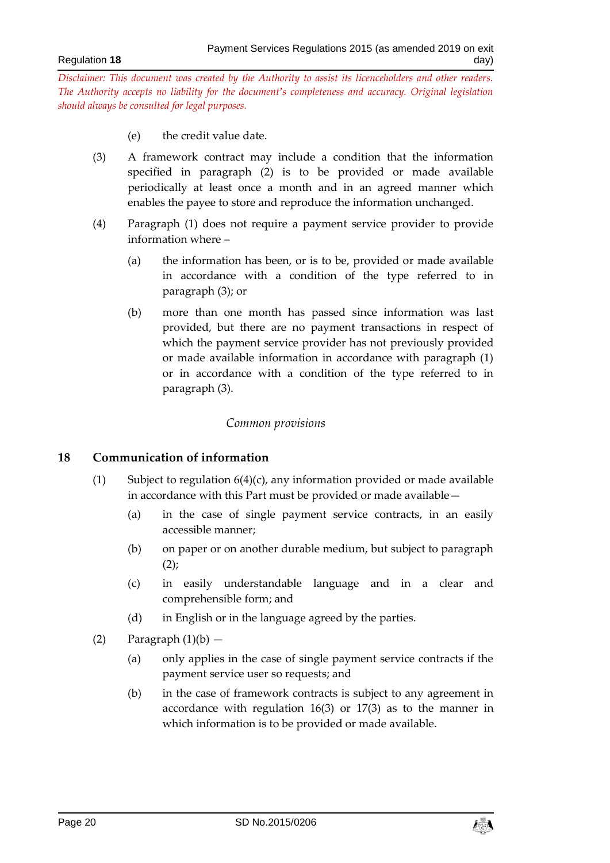- (e) the credit value date.
- (3) A framework contract may include a condition that the information specified in paragraph (2) is to be provided or made available periodically at least once a month and in an agreed manner which enables the payee to store and reproduce the information unchanged.
- (4) Paragraph (1) does not require a payment service provider to provide information where –
	- (a) the information has been, or is to be, provided or made available in accordance with a condition of the type referred to in paragraph (3); or
	- (b) more than one month has passed since information was last provided, but there are no payment transactions in respect of which the payment service provider has not previously provided or made available information in accordance with paragraph (1) or in accordance with a condition of the type referred to in paragraph (3).

#### *Common provisions*

#### <span id="page-19-1"></span><span id="page-19-0"></span>**18 Communication of information**

- (1) Subject to regulation  $6(4)(c)$ , any information provided or made available in accordance with this Part must be provided or made available—
	- (a) in the case of single payment service contracts, in an easily accessible manner;
	- (b) on paper or on another durable medium, but subject to paragraph  $(2)$ ;
	- (c) in easily understandable language and in a clear and comprehensible form; and
	- (d) in English or in the language agreed by the parties.
- (2) Paragraph  $(1)(b)$ 
	- (a) only applies in the case of single payment service contracts if the payment service user so requests; and
	- (b) in the case of framework contracts is subject to any agreement in accordance with regulation 16(3) or 17(3) as to the manner in which information is to be provided or made available.

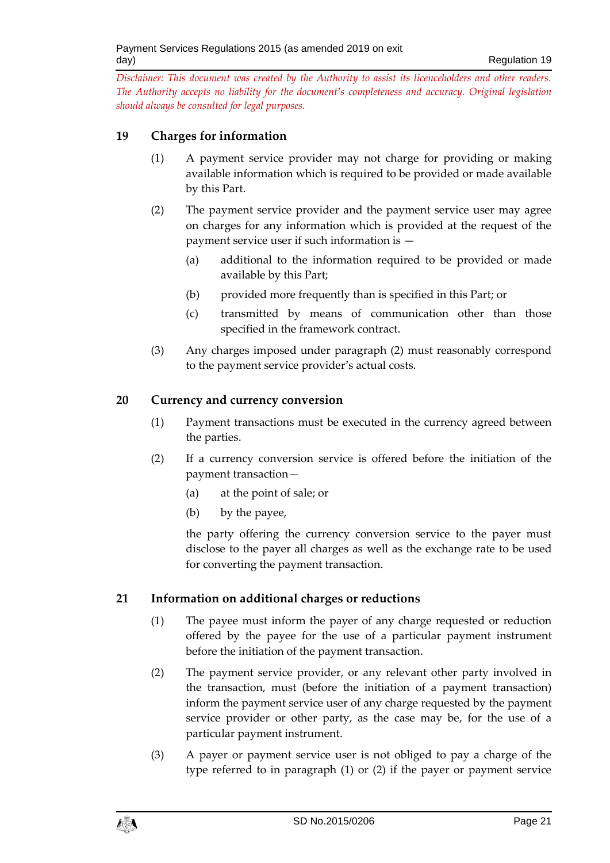## <span id="page-20-0"></span>**19 Charges for information**

- (1) A payment service provider may not charge for providing or making available information which is required to be provided or made available by this Part.
- (2) The payment service provider and the payment service user may agree on charges for any information which is provided at the request of the payment service user if such information is —
	- (a) additional to the information required to be provided or made available by this Part;
	- (b) provided more frequently than is specified in this Part; or
	- (c) transmitted by means of communication other than those specified in the framework contract.
- (3) Any charges imposed under paragraph (2) must reasonably correspond to the payment service provider's actual costs.

## <span id="page-20-1"></span>**20 Currency and currency conversion**

- (1) Payment transactions must be executed in the currency agreed between the parties.
- (2) If a currency conversion service is offered before the initiation of the payment transaction—
	- (a) at the point of sale; or
	- (b) by the payee,

the party offering the currency conversion service to the payer must disclose to the payer all charges as well as the exchange rate to be used for converting the payment transaction.

## <span id="page-20-2"></span>**21 Information on additional charges or reductions**

- (1) The payee must inform the payer of any charge requested or reduction offered by the payee for the use of a particular payment instrument before the initiation of the payment transaction.
- (2) The payment service provider, or any relevant other party involved in the transaction, must (before the initiation of a payment transaction) inform the payment service user of any charge requested by the payment service provider or other party, as the case may be, for the use of a particular payment instrument.
- (3) A payer or payment service user is not obliged to pay a charge of the type referred to in paragraph (1) or (2) if the payer or payment service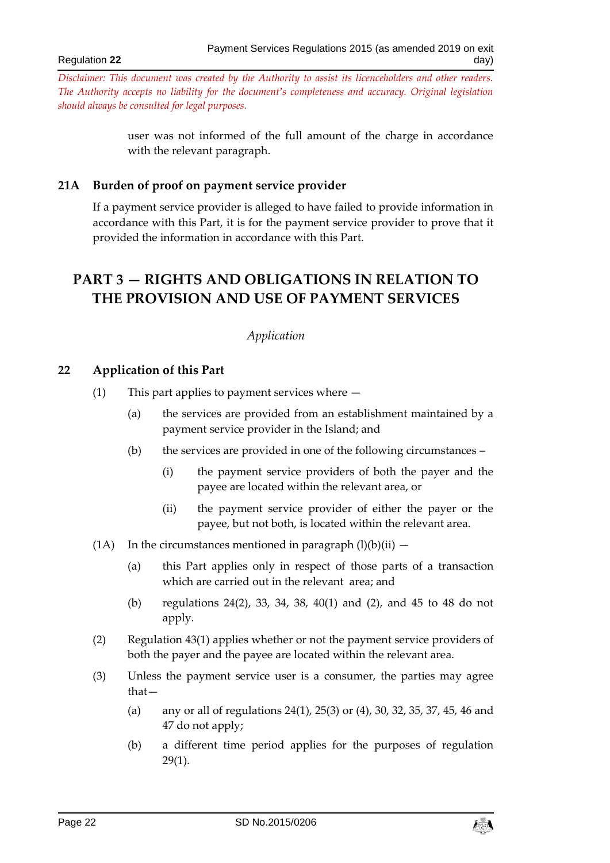Regulation **22**

*Disclaimer: This document was created by the Authority to assist its licenceholders and other readers. The Authority accepts no liability for the document's completeness and accuracy. Original legislation should always be consulted for legal purposes.*

> user was not informed of the full amount of the charge in accordance with the relevant paragraph.

#### <span id="page-21-0"></span>**21A Burden of proof on payment service provider**

If a payment service provider is alleged to have failed to provide information in accordance with this Part, it is for the payment service provider to prove that it provided the information in accordance with this Part.

# <span id="page-21-2"></span><span id="page-21-1"></span>**PART 3 — RIGHTS AND OBLIGATIONS IN RELATION TO THE PROVISION AND USE OF PAYMENT SERVICES**

#### *Application*

#### <span id="page-21-3"></span>**22 Application of this Part**

- (1) This part applies to payment services where
	- (a) the services are provided from an establishment maintained by a payment service provider in the Island; and
	- (b) the services are provided in one of the following circumstances
		- (i) the payment service providers of both the payer and the payee are located within the relevant area, or
		- (ii) the payment service provider of either the payer or the payee, but not both, is located within the relevant area.
- (1A) In the circumstances mentioned in paragraph  $(l)(b)(ii)$ 
	- (a) this Part applies only in respect of those parts of a transaction which are carried out in the relevant area; and
	- (b) regulations 24(2), 33, 34, 38, 40(1) and (2), and 45 to 48 do not apply.
- (2) Regulation 43(1) applies whether or not the payment service providers of both the payer and the payee are located within the relevant area.
- (3) Unless the payment service user is a consumer, the parties may agree that—
	- (a) any or all of regulations 24(1), 25(3) or (4), 30, 32, 35, 37, 45, 46 and 47 do not apply;
	- (b) a different time period applies for the purposes of regulation 29(1).

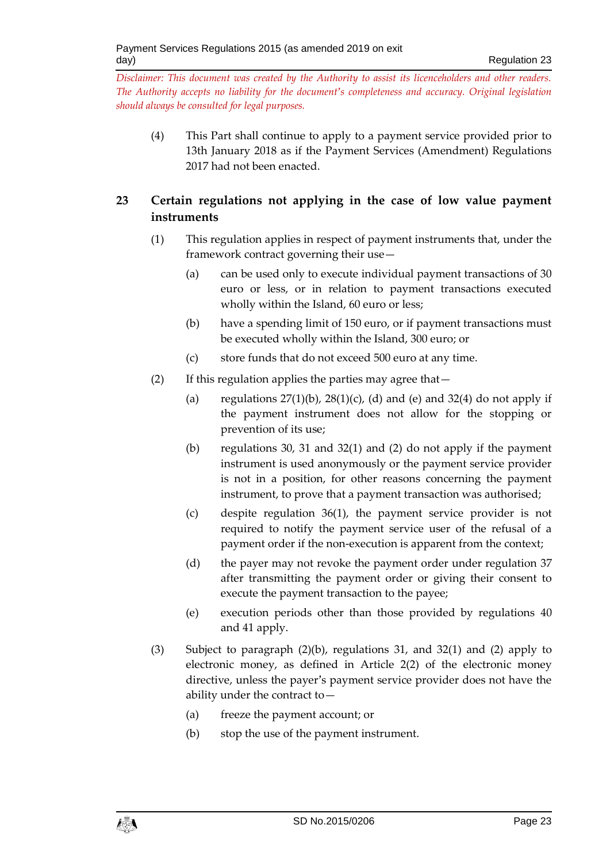(4) This Part shall continue to apply to a payment service provided prior to 13th January 2018 as if the Payment Services (Amendment) Regulations 2017 had not been enacted.

# <span id="page-22-0"></span>**23 Certain regulations not applying in the case of low value payment instruments**

- (1) This regulation applies in respect of payment instruments that, under the framework contract governing their use—
	- (a) can be used only to execute individual payment transactions of 30 euro or less, or in relation to payment transactions executed wholly within the Island, 60 euro or less;
	- (b) have a spending limit of 150 euro, or if payment transactions must be executed wholly within the Island, 300 euro; or
	- (c) store funds that do not exceed 500 euro at any time.
- (2) If this regulation applies the parties may agree that—
	- (a) regulations  $27(1)(b)$ ,  $28(1)(c)$ , (d) and (e) and  $32(4)$  do not apply if the payment instrument does not allow for the stopping or prevention of its use;
	- (b) regulations 30, 31 and 32(1) and (2) do not apply if the payment instrument is used anonymously or the payment service provider is not in a position, for other reasons concerning the payment instrument, to prove that a payment transaction was authorised;
	- (c) despite regulation 36(1), the payment service provider is not required to notify the payment service user of the refusal of a payment order if the non-execution is apparent from the context;
	- (d) the payer may not revoke the payment order under regulation 37 after transmitting the payment order or giving their consent to execute the payment transaction to the payee;
	- (e) execution periods other than those provided by regulations 40 and 41 apply.
- (3) Subject to paragraph (2)(b), regulations 31, and 32(1) and (2) apply to electronic money, as defined in Article 2(2) of the electronic money directive, unless the payer's payment service provider does not have the ability under the contract to—
	- (a) freeze the payment account; or
	- (b) stop the use of the payment instrument.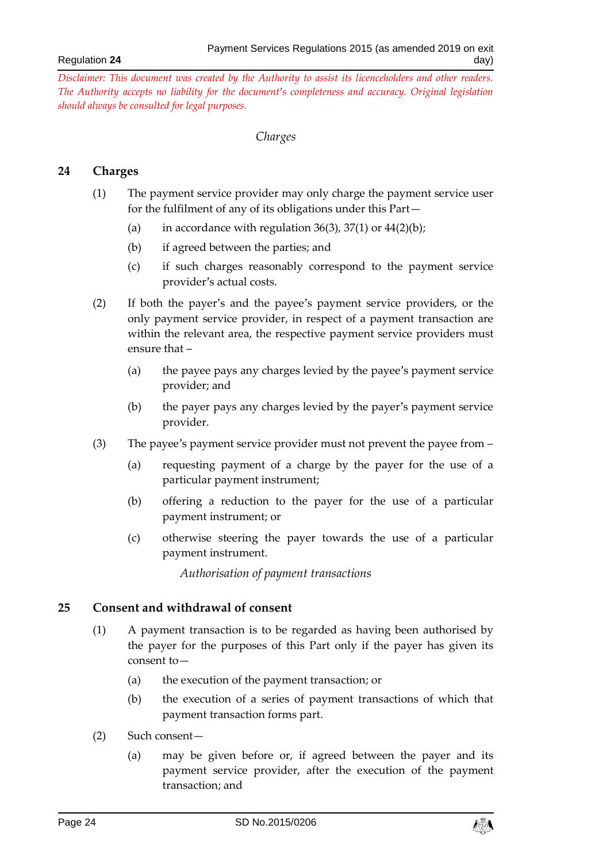#### *Charges*

## <span id="page-23-1"></span><span id="page-23-0"></span>**24 Charges**

- (1) The payment service provider may only charge the payment service user for the fulfilment of any of its obligations under this Part—
	- (a) in accordance with regulation  $36(3)$ ,  $37(1)$  or  $44(2)(b)$ ;
	- (b) if agreed between the parties; and
	- (c) if such charges reasonably correspond to the payment service provider's actual costs.
- (2) If both the payer's and the payee's payment service providers, or the only payment service provider, in respect of a payment transaction are within the relevant area, the respective payment service providers must ensure that –
	- (a) the payee pays any charges levied by the payee's payment service provider; and
	- (b) the payer pays any charges levied by the payer's payment service provider.
- (3) The payee's payment service provider must not prevent the payee from
	- (a) requesting payment of a charge by the payer for the use of a particular payment instrument;
	- (b) offering a reduction to the payer for the use of a particular payment instrument; or
	- (c) otherwise steering the payer towards the use of a particular payment instrument.

*Authorisation of payment transactions*

#### <span id="page-23-2"></span>**25 Consent and withdrawal of consent**

- (1) A payment transaction is to be regarded as having been authorised by the payer for the purposes of this Part only if the payer has given its consent to—
	- (a) the execution of the payment transaction; or
	- (b) the execution of a series of payment transactions of which that payment transaction forms part.
- (2) Such consent—
	- (a) may be given before or, if agreed between the payer and its payment service provider, after the execution of the payment transaction; and

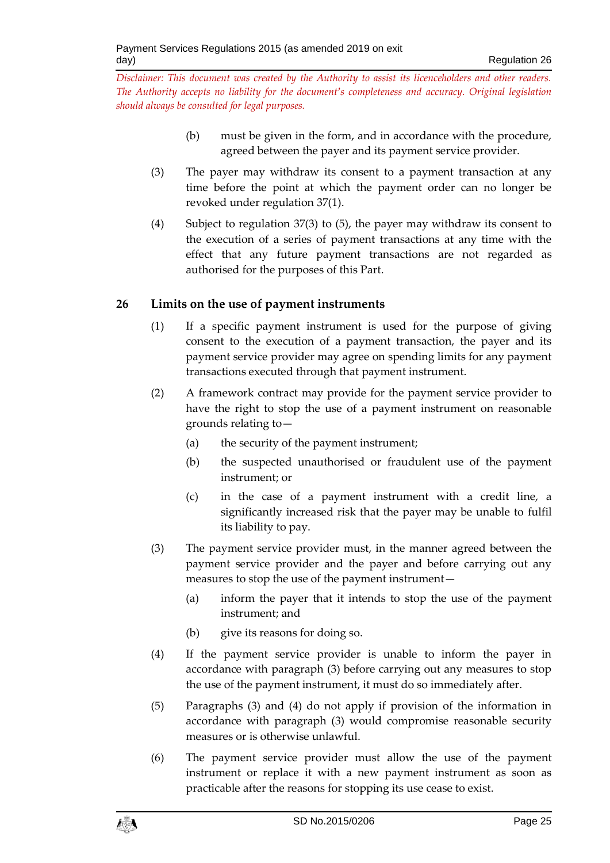- (b) must be given in the form, and in accordance with the procedure, agreed between the payer and its payment service provider.
- (3) The payer may withdraw its consent to a payment transaction at any time before the point at which the payment order can no longer be revoked under regulation 37(1).
- (4) Subject to regulation 37(3) to (5), the payer may withdraw its consent to the execution of a series of payment transactions at any time with the effect that any future payment transactions are not regarded as authorised for the purposes of this Part.

## <span id="page-24-0"></span>**26 Limits on the use of payment instruments**

- (1) If a specific payment instrument is used for the purpose of giving consent to the execution of a payment transaction, the payer and its payment service provider may agree on spending limits for any payment transactions executed through that payment instrument.
- (2) A framework contract may provide for the payment service provider to have the right to stop the use of a payment instrument on reasonable grounds relating to—
	- (a) the security of the payment instrument;
	- (b) the suspected unauthorised or fraudulent use of the payment instrument; or
	- (c) in the case of a payment instrument with a credit line, a significantly increased risk that the payer may be unable to fulfil its liability to pay.
- (3) The payment service provider must, in the manner agreed between the payment service provider and the payer and before carrying out any measures to stop the use of the payment instrument—
	- (a) inform the payer that it intends to stop the use of the payment instrument; and
	- (b) give its reasons for doing so.
- (4) If the payment service provider is unable to inform the payer in accordance with paragraph (3) before carrying out any measures to stop the use of the payment instrument, it must do so immediately after.
- (5) Paragraphs (3) and (4) do not apply if provision of the information in accordance with paragraph (3) would compromise reasonable security measures or is otherwise unlawful.
- (6) The payment service provider must allow the use of the payment instrument or replace it with a new payment instrument as soon as practicable after the reasons for stopping its use cease to exist.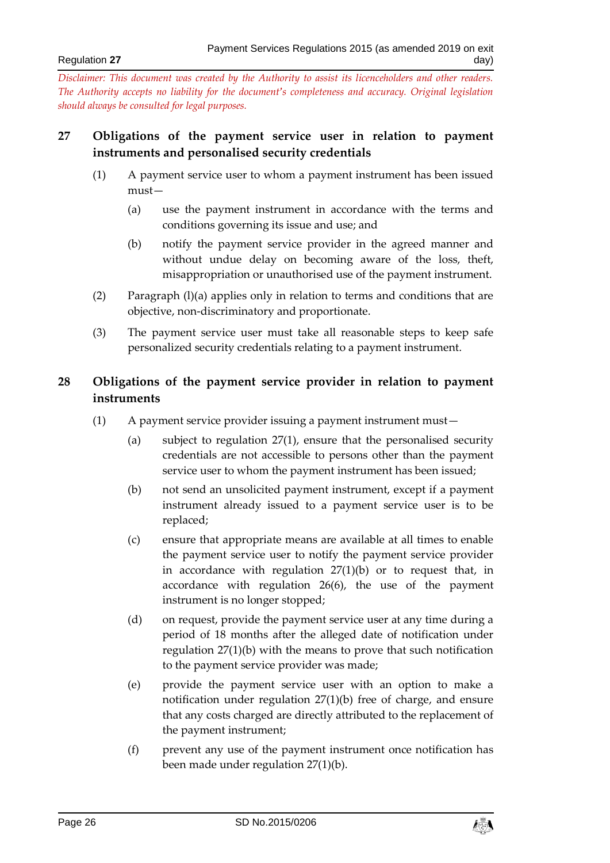## <span id="page-25-0"></span>**27 Obligations of the payment service user in relation to payment instruments and personalised security credentials**

- (1) A payment service user to whom a payment instrument has been issued must—
	- (a) use the payment instrument in accordance with the terms and conditions governing its issue and use; and
	- (b) notify the payment service provider in the agreed manner and without undue delay on becoming aware of the loss, theft, misappropriation or unauthorised use of the payment instrument.
- (2) Paragraph (l)(a) applies only in relation to terms and conditions that are objective, non-discriminatory and proportionate.
- (3) The payment service user must take all reasonable steps to keep safe personalized security credentials relating to a payment instrument.

# <span id="page-25-1"></span>**28 Obligations of the payment service provider in relation to payment instruments**

- (1) A payment service provider issuing a payment instrument must—
	- (a) subject to regulation 27(1), ensure that the personalised security credentials are not accessible to persons other than the payment service user to whom the payment instrument has been issued;
	- (b) not send an unsolicited payment instrument, except if a payment instrument already issued to a payment service user is to be replaced;
	- (c) ensure that appropriate means are available at all times to enable the payment service user to notify the payment service provider in accordance with regulation 27(1)(b) or to request that, in accordance with regulation 26(6), the use of the payment instrument is no longer stopped;
	- (d) on request, provide the payment service user at any time during a period of 18 months after the alleged date of notification under regulation 27(1)(b) with the means to prove that such notification to the payment service provider was made;
	- (e) provide the payment service user with an option to make a notification under regulation 27(1)(b) free of charge, and ensure that any costs charged are directly attributed to the replacement of the payment instrument;
	- (f) prevent any use of the payment instrument once notification has been made under regulation 27(1)(b).

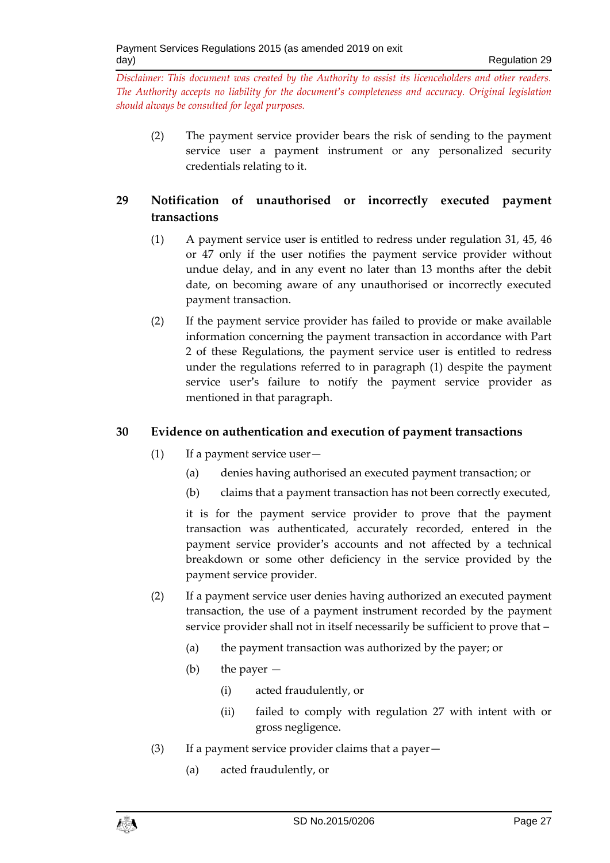(2) The payment service provider bears the risk of sending to the payment service user a payment instrument or any personalized security credentials relating to it.

# <span id="page-26-0"></span>**29 Notification of unauthorised or incorrectly executed payment transactions**

- (1) A payment service user is entitled to redress under regulation 31, 45, 46 or 47 only if the user notifies the payment service provider without undue delay, and in any event no later than 13 months after the debit date, on becoming aware of any unauthorised or incorrectly executed payment transaction.
- (2) If the payment service provider has failed to provide or make available information concerning the payment transaction in accordance with Part 2 of these Regulations, the payment service user is entitled to redress under the regulations referred to in paragraph (1) despite the payment service user's failure to notify the payment service provider as mentioned in that paragraph.

## <span id="page-26-1"></span>**30 Evidence on authentication and execution of payment transactions**

- (1) If a payment service user—
	- (a) denies having authorised an executed payment transaction; or
	- (b) claims that a payment transaction has not been correctly executed,

it is for the payment service provider to prove that the payment transaction was authenticated, accurately recorded, entered in the payment service provider's accounts and not affected by a technical breakdown or some other deficiency in the service provided by the payment service provider.

- (2) If a payment service user denies having authorized an executed payment transaction, the use of a payment instrument recorded by the payment service provider shall not in itself necessarily be sufficient to prove that –
	- (a) the payment transaction was authorized by the payer; or
	- (b) the payer
		- (i) acted fraudulently, or
		- (ii) failed to comply with regulation 27 with intent with or gross negligence.
- (3) If a payment service provider claims that a payer—
	- (a) acted fraudulently, or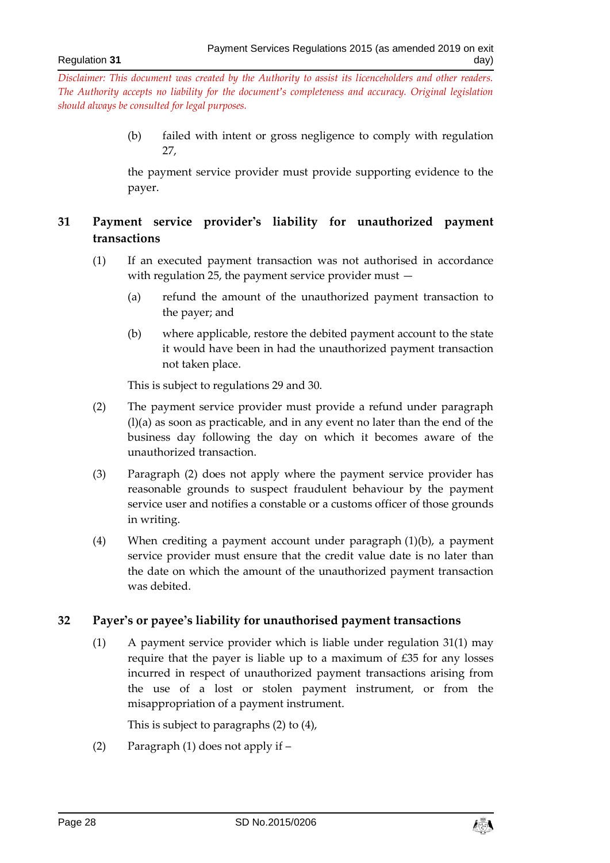> (b) failed with intent or gross negligence to comply with regulation 27,

> the payment service provider must provide supporting evidence to the payer.

# <span id="page-27-0"></span>**31 Payment service provider's liability for unauthorized payment transactions**

- (1) If an executed payment transaction was not authorised in accordance with regulation 25, the payment service provider must —
	- (a) refund the amount of the unauthorized payment transaction to the payer; and
	- (b) where applicable, restore the debited payment account to the state it would have been in had the unauthorized payment transaction not taken place.

This is subject to regulations 29 and 30.

- (2) The payment service provider must provide a refund under paragraph (l)(a) as soon as practicable, and in any event no later than the end of the business day following the day on which it becomes aware of the unauthorized transaction.
- (3) Paragraph (2) does not apply where the payment service provider has reasonable grounds to suspect fraudulent behaviour by the payment service user and notifies a constable or a customs officer of those grounds in writing.
- (4) When crediting a payment account under paragraph (1)(b), a payment service provider must ensure that the credit value date is no later than the date on which the amount of the unauthorized payment transaction was debited.

## <span id="page-27-1"></span>**32 Payer's or payee's liability for unauthorised payment transactions**

(1) A payment service provider which is liable under regulation 31(1) may require that the payer is liable up to a maximum of £35 for any losses incurred in respect of unauthorized payment transactions arising from the use of a lost or stolen payment instrument, or from the misappropriation of a payment instrument.

This is subject to paragraphs (2) to (4),

(2) Paragraph (1) does not apply if –

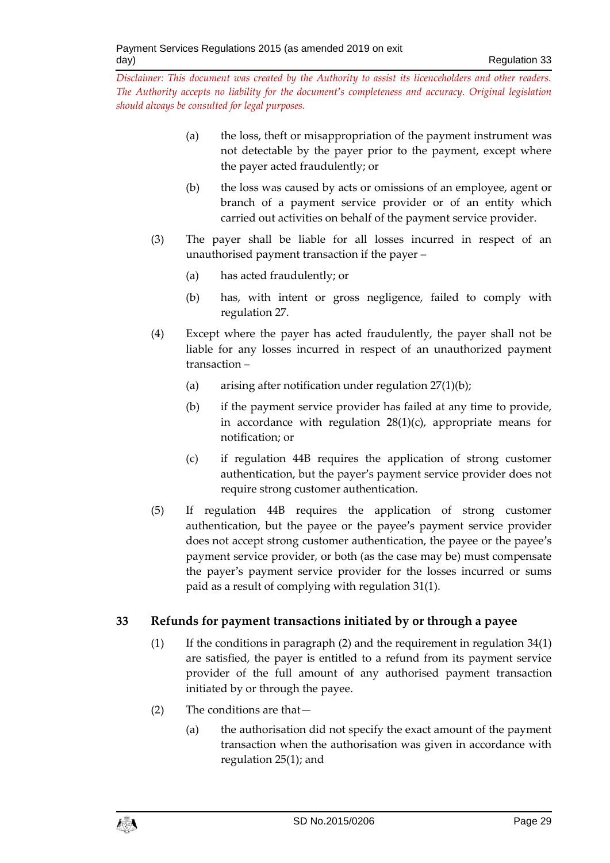- (a) the loss, theft or misappropriation of the payment instrument was not detectable by the payer prior to the payment, except where the payer acted fraudulently; or
- (b) the loss was caused by acts or omissions of an employee, agent or branch of a payment service provider or of an entity which carried out activities on behalf of the payment service provider.
- (3) The payer shall be liable for all losses incurred in respect of an unauthorised payment transaction if the payer –
	- (a) has acted fraudulently; or
	- (b) has, with intent or gross negligence, failed to comply with regulation 27.
- (4) Except where the payer has acted fraudulently, the payer shall not be liable for any losses incurred in respect of an unauthorized payment transaction –
	- (a) arising after notification under regulation  $27(1)(b)$ ;
	- (b) if the payment service provider has failed at any time to provide, in accordance with regulation  $28(1)(c)$ , appropriate means for notification; or
	- (c) if regulation 44B requires the application of strong customer authentication, but the payer's payment service provider does not require strong customer authentication.
- (5) If regulation 44B requires the application of strong customer authentication, but the payee or the payee's payment service provider does not accept strong customer authentication, the payee or the payee's payment service provider, or both (as the case may be) must compensate the payer's payment service provider for the losses incurred or sums paid as a result of complying with regulation 31(1).

# <span id="page-28-0"></span>**33 Refunds for payment transactions initiated by or through a payee**

- (1) If the conditions in paragraph (2) and the requirement in regulation  $34(1)$ are satisfied, the payer is entitled to a refund from its payment service provider of the full amount of any authorised payment transaction initiated by or through the payee.
- (2) The conditions are that—
	- (a) the authorisation did not specify the exact amount of the payment transaction when the authorisation was given in accordance with regulation 25(1); and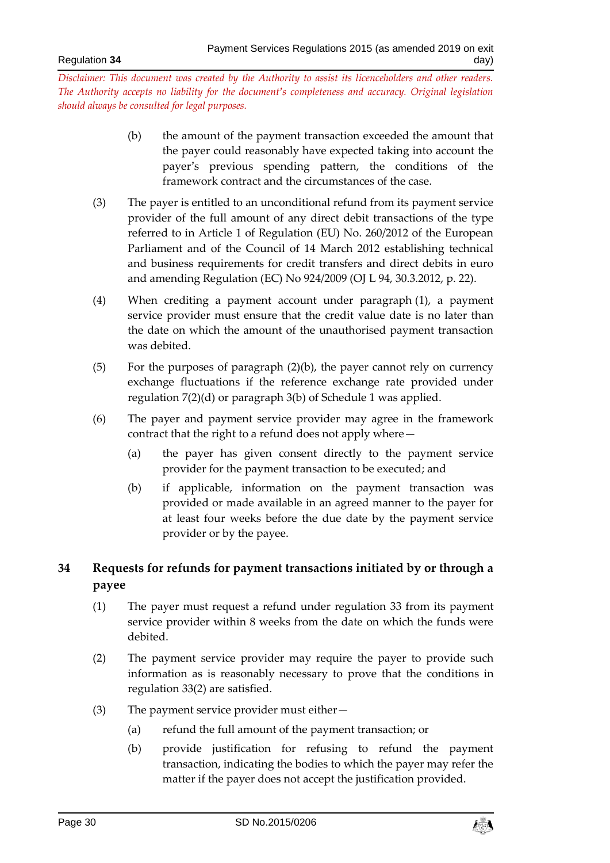- (b) the amount of the payment transaction exceeded the amount that the payer could reasonably have expected taking into account the payer's previous spending pattern, the conditions of the framework contract and the circumstances of the case.
- (3) The payer is entitled to an unconditional refund from its payment service provider of the full amount of any direct debit transactions of the type referred to in Article 1 of Regulation (EU) No. 260/2012 of the European Parliament and of the Council of 14 March 2012 establishing technical and business requirements for credit transfers and direct debits in euro and amending Regulation (EC) No 924/2009 (OJ L 94, 30.3.2012, p. 22).
- (4) When crediting a payment account under paragraph (1), a payment service provider must ensure that the credit value date is no later than the date on which the amount of the unauthorised payment transaction was debited.
- (5) For the purposes of paragraph (2)(b), the payer cannot rely on currency exchange fluctuations if the reference exchange rate provided under regulation 7(2)(d) or paragraph 3(b) of Schedule 1 was applied.
- (6) The payer and payment service provider may agree in the framework contract that the right to a refund does not apply where—
	- (a) the payer has given consent directly to the payment service provider for the payment transaction to be executed; and
	- (b) if applicable, information on the payment transaction was provided or made available in an agreed manner to the payer for at least four weeks before the due date by the payment service provider or by the payee.

# <span id="page-29-0"></span>**34 Requests for refunds for payment transactions initiated by or through a payee**

- (1) The payer must request a refund under regulation 33 from its payment service provider within 8 weeks from the date on which the funds were debited.
- (2) The payment service provider may require the payer to provide such information as is reasonably necessary to prove that the conditions in regulation 33(2) are satisfied.
- (3) The payment service provider must either—
	- (a) refund the full amount of the payment transaction; or
	- (b) provide justification for refusing to refund the payment transaction, indicating the bodies to which the payer may refer the matter if the payer does not accept the justification provided.

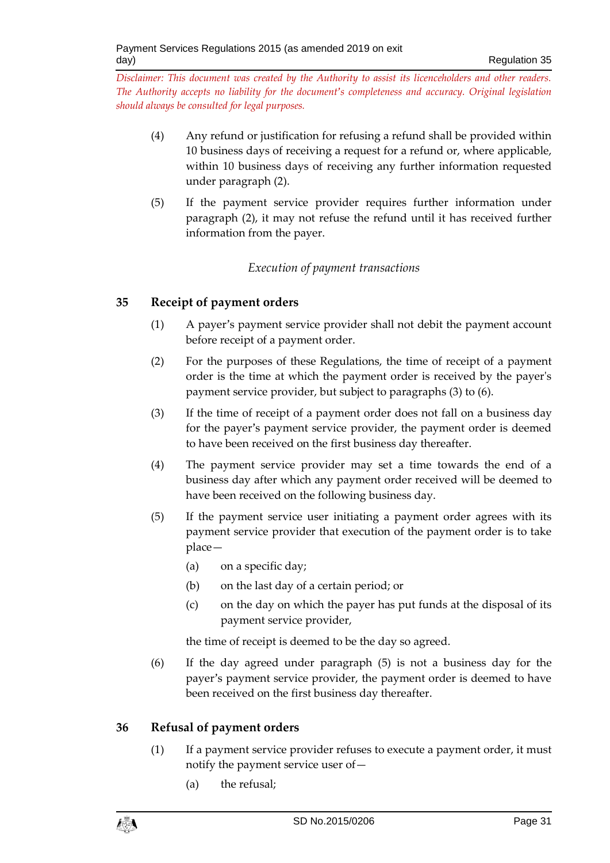- (4) Any refund or justification for refusing a refund shall be provided within 10 business days of receiving a request for a refund or, where applicable, within 10 business days of receiving any further information requested under paragraph (2).
- (5) If the payment service provider requires further information under paragraph (2), it may not refuse the refund until it has received further information from the payer.

# *Execution of payment transactions*

# <span id="page-30-1"></span><span id="page-30-0"></span>**35 Receipt of payment orders**

- (1) A payer's payment service provider shall not debit the payment account before receipt of a payment order.
- (2) For the purposes of these Regulations, the time of receipt of a payment order is the time at which the payment order is received by the payer's payment service provider, but subject to paragraphs (3) to (6).
- (3) If the time of receipt of a payment order does not fall on a business day for the payer's payment service provider, the payment order is deemed to have been received on the first business day thereafter.
- (4) The payment service provider may set a time towards the end of a business day after which any payment order received will be deemed to have been received on the following business day.
- (5) If the payment service user initiating a payment order agrees with its payment service provider that execution of the payment order is to take place—
	- (a) on a specific day;
	- (b) on the last day of a certain period; or
	- (c) on the day on which the payer has put funds at the disposal of its payment service provider,

the time of receipt is deemed to be the day so agreed.

(6) If the day agreed under paragraph (5) is not a business day for the payer's payment service provider, the payment order is deemed to have been received on the first business day thereafter.

# <span id="page-30-2"></span>**36 Refusal of payment orders**

- (1) If a payment service provider refuses to execute a payment order, it must notify the payment service user of—
	- (a) the refusal;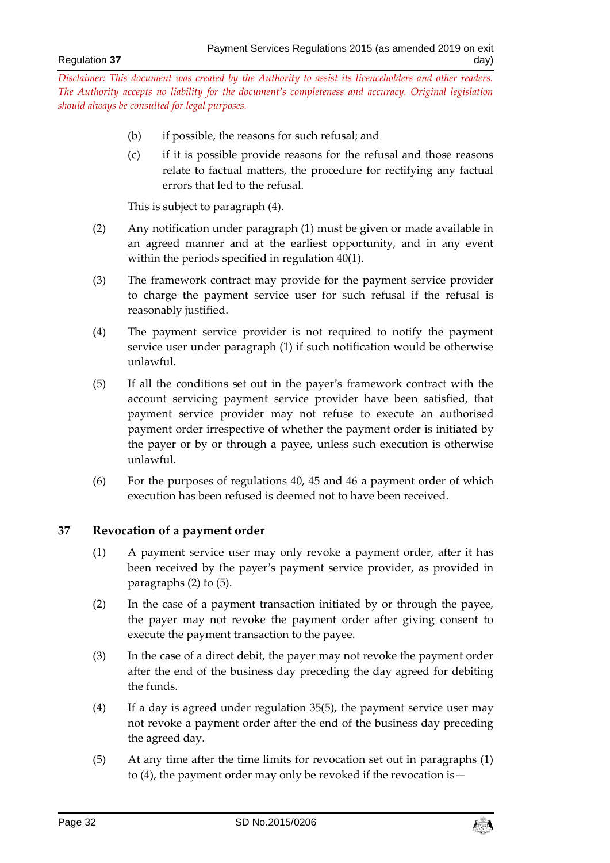- (b) if possible, the reasons for such refusal; and
- (c) if it is possible provide reasons for the refusal and those reasons relate to factual matters, the procedure for rectifying any factual errors that led to the refusal.

This is subject to paragraph (4).

- (2) Any notification under paragraph (1) must be given or made available in an agreed manner and at the earliest opportunity, and in any event within the periods specified in regulation 40(1).
- (3) The framework contract may provide for the payment service provider to charge the payment service user for such refusal if the refusal is reasonably justified.
- (4) The payment service provider is not required to notify the payment service user under paragraph (1) if such notification would be otherwise unlawful.
- (5) If all the conditions set out in the payer's framework contract with the account servicing payment service provider have been satisfied, that payment service provider may not refuse to execute an authorised payment order irrespective of whether the payment order is initiated by the payer or by or through a payee, unless such execution is otherwise unlawful.
- (6) For the purposes of regulations 40, 45 and 46 a payment order of which execution has been refused is deemed not to have been received.

## <span id="page-31-0"></span>**37 Revocation of a payment order**

- (1) A payment service user may only revoke a payment order, after it has been received by the payer's payment service provider, as provided in paragraphs (2) to (5).
- (2) In the case of a payment transaction initiated by or through the payee, the payer may not revoke the payment order after giving consent to execute the payment transaction to the payee.
- (3) In the case of a direct debit, the payer may not revoke the payment order after the end of the business day preceding the day agreed for debiting the funds.
- (4) If a day is agreed under regulation 35(5), the payment service user may not revoke a payment order after the end of the business day preceding the agreed day.
- (5) At any time after the time limits for revocation set out in paragraphs (1) to (4), the payment order may only be revoked if the revocation is—

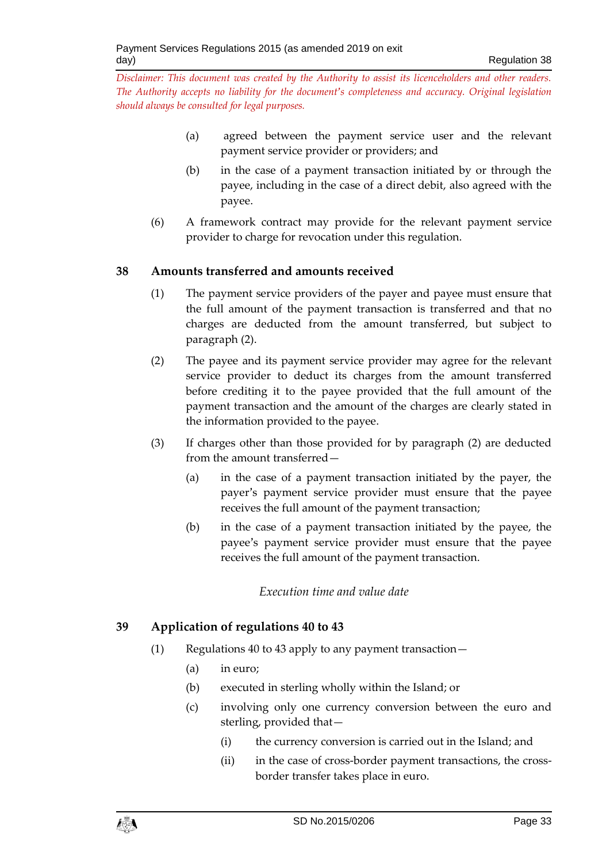- (a) agreed between the payment service user and the relevant payment service provider or providers; and
- (b) in the case of a payment transaction initiated by or through the payee, including in the case of a direct debit, also agreed with the payee.
- (6) A framework contract may provide for the relevant payment service provider to charge for revocation under this regulation.

## <span id="page-32-0"></span>**38 Amounts transferred and amounts received**

- (1) The payment service providers of the payer and payee must ensure that the full amount of the payment transaction is transferred and that no charges are deducted from the amount transferred, but subject to paragraph (2).
- (2) The payee and its payment service provider may agree for the relevant service provider to deduct its charges from the amount transferred before crediting it to the payee provided that the full amount of the payment transaction and the amount of the charges are clearly stated in the information provided to the payee.
- (3) If charges other than those provided for by paragraph (2) are deducted from the amount transferred—
	- (a) in the case of a payment transaction initiated by the payer, the payer's payment service provider must ensure that the payee receives the full amount of the payment transaction;
	- (b) in the case of a payment transaction initiated by the payee, the payee's payment service provider must ensure that the payee receives the full amount of the payment transaction.

## *Execution time and value date*

# <span id="page-32-2"></span><span id="page-32-1"></span>**39 Application of regulations 40 to 43**

- (1) Regulations 40 to 43 apply to any payment transaction—
	- (a) in euro;
	- (b) executed in sterling wholly within the Island; or
	- (c) involving only one currency conversion between the euro and sterling, provided that—
		- (i) the currency conversion is carried out in the Island; and
		- (ii) in the case of cross-border payment transactions, the crossborder transfer takes place in euro.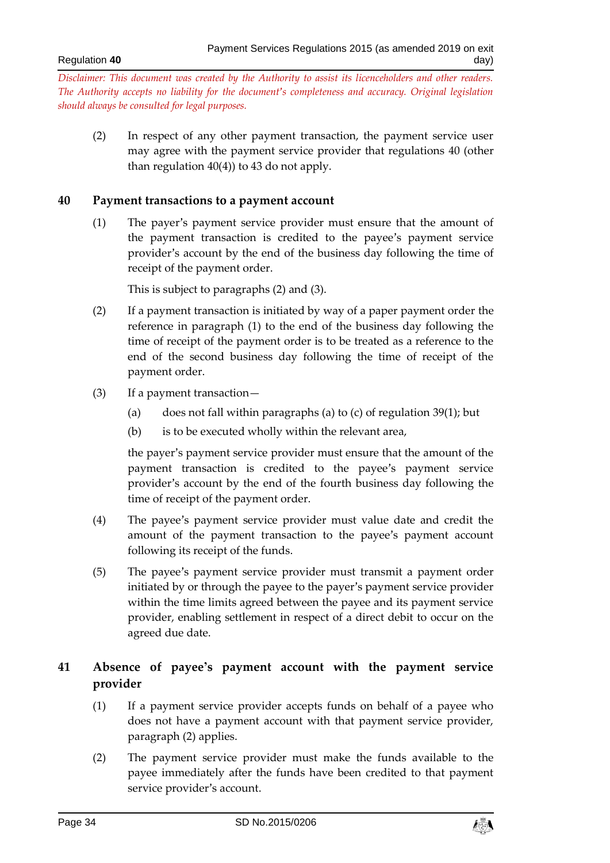(2) In respect of any other payment transaction, the payment service user may agree with the payment service provider that regulations 40 (other than regulation  $40(4)$ ) to 43 do not apply.

#### <span id="page-33-0"></span>**40 Payment transactions to a payment account**

(1) The payer's payment service provider must ensure that the amount of the payment transaction is credited to the payee's payment service provider's account by the end of the business day following the time of receipt of the payment order.

This is subject to paragraphs (2) and (3).

- (2) If a payment transaction is initiated by way of a paper payment order the reference in paragraph (1) to the end of the business day following the time of receipt of the payment order is to be treated as a reference to the end of the second business day following the time of receipt of the payment order.
- (3) If a payment transaction—
	- (a) does not fall within paragraphs (a) to (c) of regulation  $39(1)$ ; but
	- (b) is to be executed wholly within the relevant area,

the payer's payment service provider must ensure that the amount of the payment transaction is credited to the payee's payment service provider's account by the end of the fourth business day following the time of receipt of the payment order.

- (4) The payee's payment service provider must value date and credit the amount of the payment transaction to the payee's payment account following its receipt of the funds.
- (5) The payee's payment service provider must transmit a payment order initiated by or through the payee to the payer's payment service provider within the time limits agreed between the payee and its payment service provider, enabling settlement in respect of a direct debit to occur on the agreed due date.

# <span id="page-33-1"></span>**41 Absence of payee's payment account with the payment service provider**

- (1) If a payment service provider accepts funds on behalf of a payee who does not have a payment account with that payment service provider, paragraph (2) applies.
- (2) The payment service provider must make the funds available to the payee immediately after the funds have been credited to that payment service provider's account.

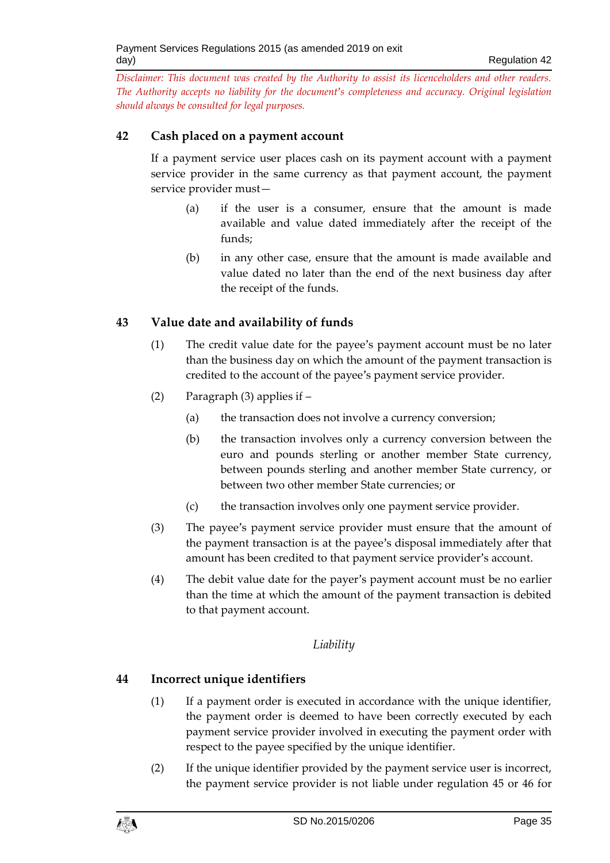## <span id="page-34-0"></span>**42 Cash placed on a payment account**

If a payment service user places cash on its payment account with a payment service provider in the same currency as that payment account, the payment service provider must—

- (a) if the user is a consumer, ensure that the amount is made available and value dated immediately after the receipt of the funds;
- (b) in any other case, ensure that the amount is made available and value dated no later than the end of the next business day after the receipt of the funds.

## <span id="page-34-1"></span>**43 Value date and availability of funds**

- (1) The credit value date for the payee's payment account must be no later than the business day on which the amount of the payment transaction is credited to the account of the payee's payment service provider.
- (2) Paragraph (3) applies if
	- (a) the transaction does not involve a currency conversion;
	- (b) the transaction involves only a currency conversion between the euro and pounds sterling or another member State currency, between pounds sterling and another member State currency, or between two other member State currencies; or
	- (c) the transaction involves only one payment service provider.
- (3) The payee's payment service provider must ensure that the amount of the payment transaction is at the payee's disposal immediately after that amount has been credited to that payment service provider's account.
- (4) The debit value date for the payer's payment account must be no earlier than the time at which the amount of the payment transaction is debited to that payment account.

## *Liability*

# <span id="page-34-3"></span><span id="page-34-2"></span>**44 Incorrect unique identifiers**

- (1) If a payment order is executed in accordance with the unique identifier, the payment order is deemed to have been correctly executed by each payment service provider involved in executing the payment order with respect to the payee specified by the unique identifier.
- (2) If the unique identifier provided by the payment service user is incorrect, the payment service provider is not liable under regulation 45 or 46 for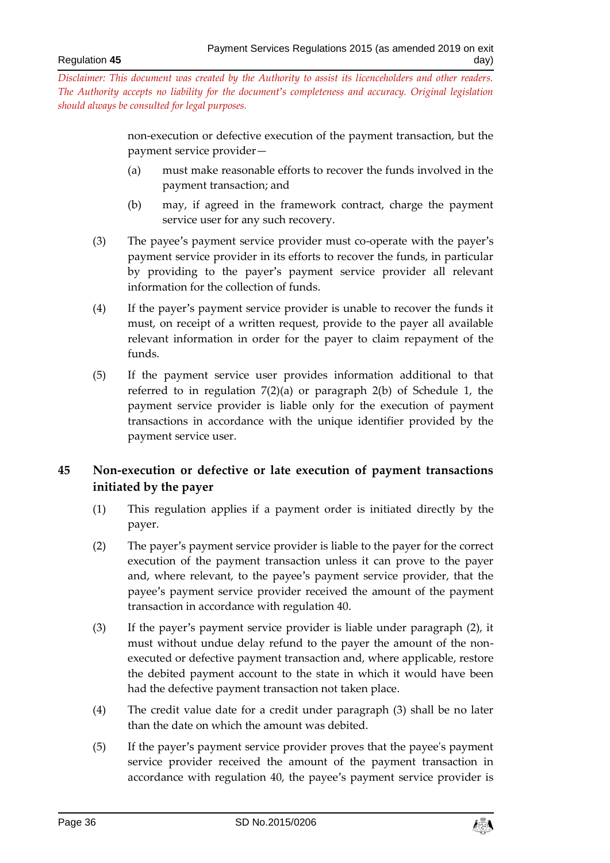> non-execution or defective execution of the payment transaction, but the payment service provider—

- (a) must make reasonable efforts to recover the funds involved in the payment transaction; and
- (b) may, if agreed in the framework contract, charge the payment service user for any such recovery.
- (3) The payee's payment service provider must co-operate with the payer's payment service provider in its efforts to recover the funds, in particular by providing to the payer's payment service provider all relevant information for the collection of funds.
- (4) If the payer's payment service provider is unable to recover the funds it must, on receipt of a written request, provide to the payer all available relevant information in order for the payer to claim repayment of the funds.
- (5) If the payment service user provides information additional to that referred to in regulation 7(2)(a) or paragraph 2(b) of Schedule 1, the payment service provider is liable only for the execution of payment transactions in accordance with the unique identifier provided by the payment service user.

# <span id="page-35-0"></span>**45 Non-execution or defective or late execution of payment transactions initiated by the payer**

- (1) This regulation applies if a payment order is initiated directly by the payer.
- (2) The payer's payment service provider is liable to the payer for the correct execution of the payment transaction unless it can prove to the payer and, where relevant, to the payee's payment service provider, that the payee's payment service provider received the amount of the payment transaction in accordance with regulation 40.
- (3) If the payer's payment service provider is liable under paragraph (2), it must without undue delay refund to the payer the amount of the nonexecuted or defective payment transaction and, where applicable, restore the debited payment account to the state in which it would have been had the defective payment transaction not taken place.
- (4) The credit value date for a credit under paragraph (3) shall be no later than the date on which the amount was debited.
- (5) If the payer's payment service provider proves that the payee's payment service provider received the amount of the payment transaction in accordance with regulation 40, the payee's payment service provider is

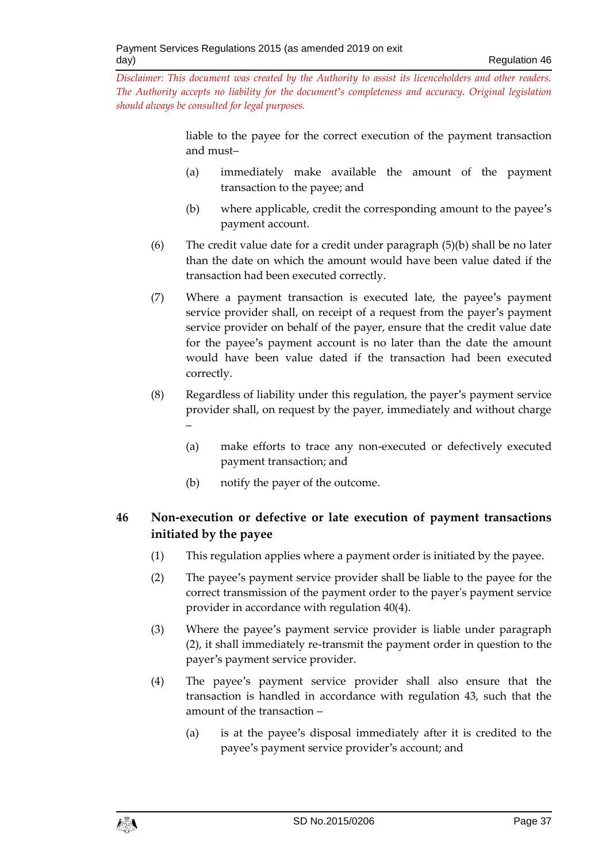> liable to the payee for the correct execution of the payment transaction and must–

- (a) immediately make available the amount of the payment transaction to the payee; and
- (b) where applicable, credit the corresponding amount to the payee's payment account.
- (6) The credit value date for a credit under paragraph (5)(b) shall be no later than the date on which the amount would have been value dated if the transaction had been executed correctly.
- (7) Where a payment transaction is executed late, the payee's payment service provider shall, on receipt of a request from the payer's payment service provider on behalf of the payer, ensure that the credit value date for the payee's payment account is no later than the date the amount would have been value dated if the transaction had been executed correctly.
- (8) Regardless of liability under this regulation, the payer's payment service provider shall, on request by the payer, immediately and without charge –
	- (a) make efforts to trace any non-executed or defectively executed payment transaction; and
	- (b) notify the payer of the outcome.

# <span id="page-36-0"></span>**46 Non-execution or defective or late execution of payment transactions initiated by the payee**

- (1) This regulation applies where a payment order is initiated by the payee.
- (2) The payee's payment service provider shall be liable to the payee for the correct transmission of the payment order to the payer's payment service provider in accordance with regulation 40(4).
- (3) Where the payee's payment service provider is liable under paragraph (2), it shall immediately re-transmit the payment order in question to the payer's payment service provider.
- (4) The payee's payment service provider shall also ensure that the transaction is handled in accordance with regulation 43, such that the amount of the transaction –
	- (a) is at the payee's disposal immediately after it is credited to the payee's payment service provider's account; and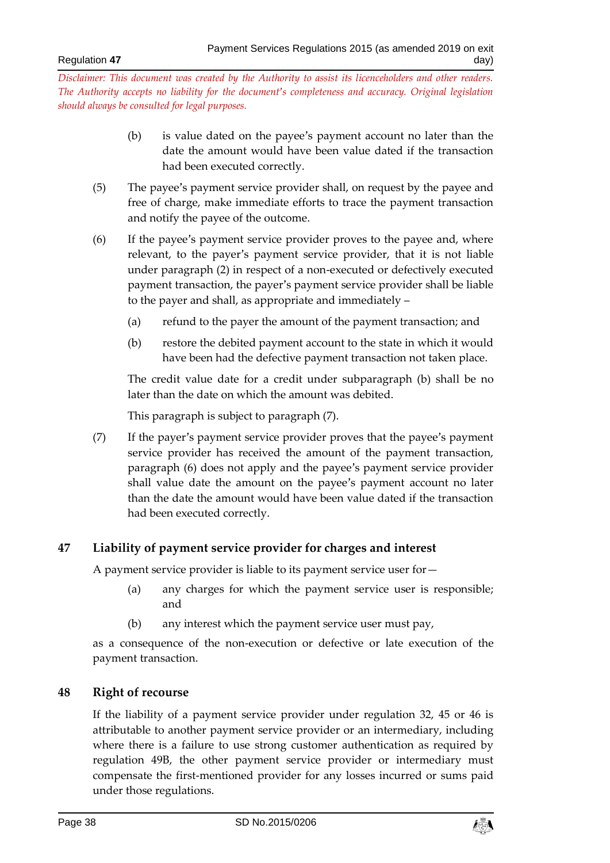- (b) is value dated on the payee's payment account no later than the date the amount would have been value dated if the transaction had been executed correctly.
- (5) The payee's payment service provider shall, on request by the payee and free of charge, make immediate efforts to trace the payment transaction and notify the payee of the outcome.
- (6) If the payee's payment service provider proves to the payee and, where relevant, to the payer's payment service provider, that it is not liable under paragraph (2) in respect of a non-executed or defectively executed payment transaction, the payer's payment service provider shall be liable to the payer and shall, as appropriate and immediately –
	- (a) refund to the payer the amount of the payment transaction; and
	- (b) restore the debited payment account to the state in which it would have been had the defective payment transaction not taken place.

The credit value date for a credit under subparagraph (b) shall be no later than the date on which the amount was debited.

This paragraph is subject to paragraph (7).

(7) If the payer's payment service provider proves that the payee's payment service provider has received the amount of the payment transaction, paragraph (6) does not apply and the payee's payment service provider shall value date the amount on the payee's payment account no later than the date the amount would have been value dated if the transaction had been executed correctly.

## <span id="page-37-0"></span>**47 Liability of payment service provider for charges and interest**

A payment service provider is liable to its payment service user for—

- (a) any charges for which the payment service user is responsible; and
- (b) any interest which the payment service user must pay,

as a consequence of the non-execution or defective or late execution of the payment transaction.

## <span id="page-37-1"></span>**48 Right of recourse**

If the liability of a payment service provider under regulation 32, 45 or 46 is attributable to another payment service provider or an intermediary, including where there is a failure to use strong customer authentication as required by regulation 49B, the other payment service provider or intermediary must compensate the first-mentioned provider for any losses incurred or sums paid under those regulations.

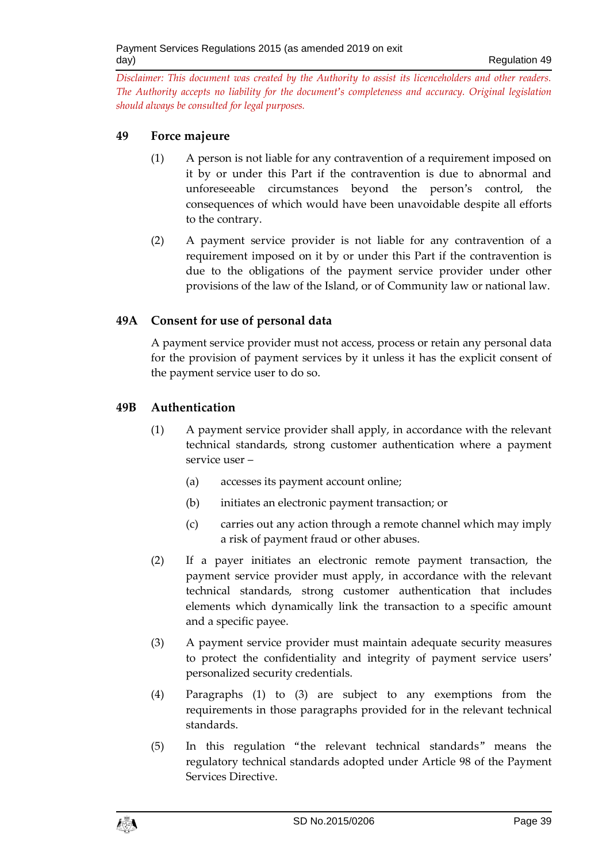## <span id="page-38-0"></span>**49 Force majeure**

- (1) A person is not liable for any contravention of a requirement imposed on it by or under this Part if the contravention is due to abnormal and unforeseeable circumstances beyond the person's control, the consequences of which would have been unavoidable despite all efforts to the contrary.
- (2) A payment service provider is not liable for any contravention of a requirement imposed on it by or under this Part if the contravention is due to the obligations of the payment service provider under other provisions of the law of the Island, or of Community law or national law.

## **49A Consent for use of personal data**

A payment service provider must not access, process or retain any personal data for the provision of payment services by it unless it has the explicit consent of the payment service user to do so.

#### **49B Authentication**

- (1) A payment service provider shall apply, in accordance with the relevant technical standards, strong customer authentication where a payment service user –
	- (a) accesses its payment account online;
	- (b) initiates an electronic payment transaction; or
	- (c) carries out any action through a remote channel which may imply a risk of payment fraud or other abuses.
- (2) If a payer initiates an electronic remote payment transaction, the payment service provider must apply, in accordance with the relevant technical standards, strong customer authentication that includes elements which dynamically link the transaction to a specific amount and a specific payee.
- (3) A payment service provider must maintain adequate security measures to protect the confidentiality and integrity of payment service users' personalized security credentials.
- (4) Paragraphs (1) to (3) are subject to any exemptions from the requirements in those paragraphs provided for in the relevant technical standards.
- (5) In this regulation "the relevant technical standards" means the regulatory technical standards adopted under Article 98 of the Payment Services Directive.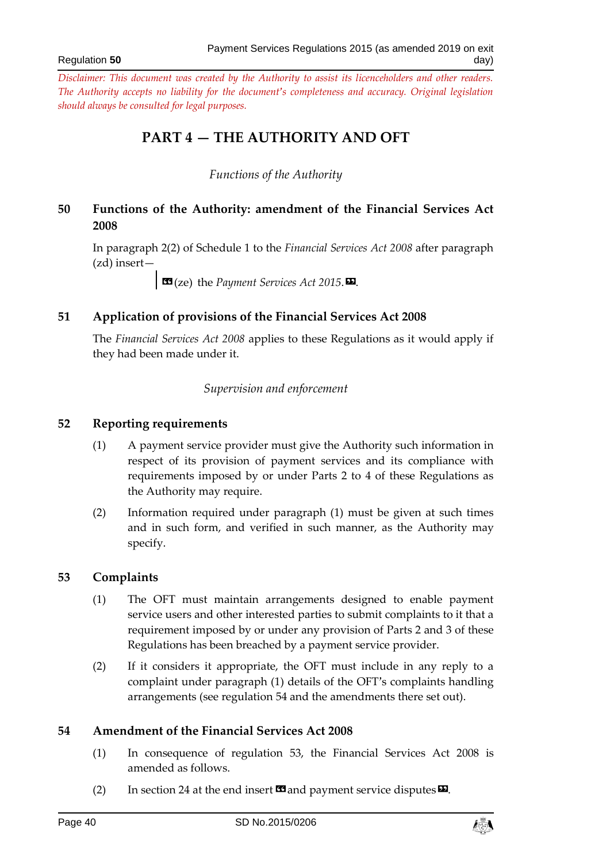#### Regulation **50**

<span id="page-39-0"></span>*Disclaimer: This document was created by the Authority to assist its licenceholders and other readers. The Authority accepts no liability for the document's completeness and accuracy. Original legislation should always be consulted for legal purposes.*

# **PART 4 — THE AUTHORITY AND OFT**

## *Functions of the Authority*

## <span id="page-39-2"></span><span id="page-39-1"></span>**50 Functions of the Authority: amendment of the Financial Services Act 2008**

In paragraph 2(2) of Schedule 1 to the *Financial Services Act 2008* after paragraph (zd) insert—

 $\Box$  **33** (ze) the *Payment Services Act* 2015.

## <span id="page-39-3"></span>**51 Application of provisions of the Financial Services Act 2008**

<span id="page-39-4"></span>The *Financial Services Act 2008* applies to these Regulations as it would apply if they had been made under it.

#### *Supervision and enforcement*

#### <span id="page-39-5"></span>**52 Reporting requirements**

- (1) A payment service provider must give the Authority such information in respect of its provision of payment services and its compliance with requirements imposed by or under Parts 2 to 4 of these Regulations as the Authority may require.
- (2) Information required under paragraph (1) must be given at such times and in such form, and verified in such manner, as the Authority may specify.

#### <span id="page-39-6"></span>**53 Complaints**

- (1) The OFT must maintain arrangements designed to enable payment service users and other interested parties to submit complaints to it that a requirement imposed by or under any provision of Parts 2 and 3 of these Regulations has been breached by a payment service provider.
- (2) If it considers it appropriate, the OFT must include in any reply to a complaint under paragraph (1) details of the OFT's complaints handling arrangements (see regulation 54 and the amendments there set out).

## <span id="page-39-7"></span>**54 Amendment of the Financial Services Act 2008**

- (1) In consequence of regulation 53, the Financial Services Act 2008 is amended as follows.
- (2) In section 24 at the end insert  $\mathbf{C}$  and payment service disputes  $\mathbf{E}$ .

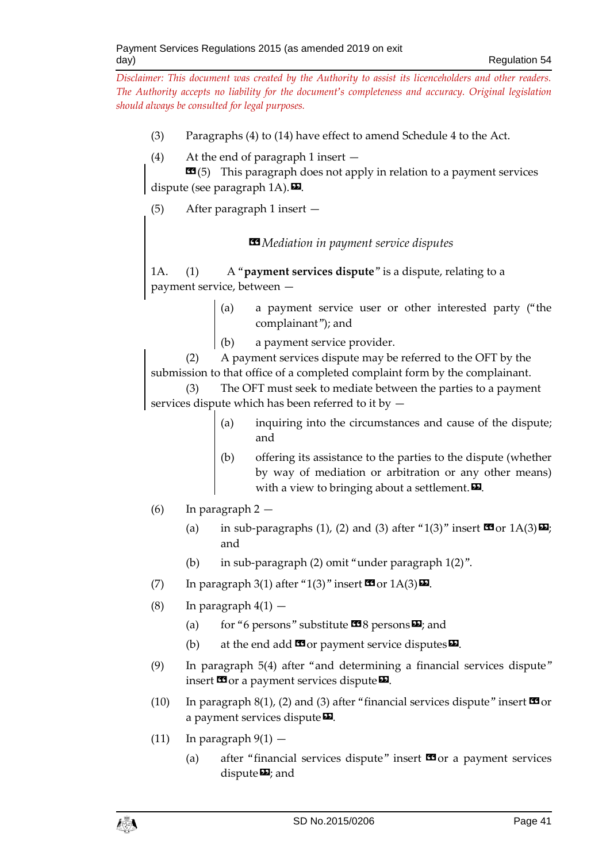- (3) Paragraphs (4) to (14) have effect to amend Schedule 4 to the Act.
- (4) At the end of paragraph 1 insert —

 **(5) This paragraph does not apply in relation to a payment services** dispute (see paragraph  $1A$ ).

(5) After paragraph 1 insert —

## *«Mediation in payment service disputes*

1A. (1) A "**payment services dispute**" is a dispute, relating to a payment service, between —

- (a) a payment service user or other interested party ("the complainant"); and
- (b) a payment service provider.

(2) A payment services dispute may be referred to the OFT by the submission to that office of a completed complaint form by the complainant. (3) The OFT must seek to mediate between the parties to a payment

services dispute which has been referred to it by —

- (a) inquiring into the circumstances and cause of the dispute; and
- (b) offering its assistance to the parties to the dispute (whether by way of mediation or arbitration or any other means) with a view to bringing about a settlement. $\boldsymbol{\mathsf{E}}$ .
- (6) In paragraph 2
	- (a) in sub-paragraphs (1), (2) and (3) after "1(3)" insert  $\mathbb{S}$  or  $1A(3)\mathbb{Z}$ ; and
	- (b) in sub-paragraph (2) omit "under paragraph 1(2)".
- (7) In paragraph 3(1) after "1(3)" insert  $\mathbf{C}$  or  $1A(3)\mathbf{E}$ .
- (8) In paragraph  $4(1)$ 
	- (a) for "6 persons" substitute  $\mathbf{I}$ 8 persons  $\mathbf{E}$ ; and
	- (b) at the end add  $\mathbf{G}$  or payment service disputes  $\mathbf{E}$ .
- (9) In paragraph 5(4) after "and determining a financial services dispute" insert  $\blacksquare$  or a payment services dispute  $\blacksquare$ .
- (10) In paragraph 8(1), (2) and (3) after "financial services dispute" insert  $\blacksquare$  or a payment services dispute  $\Sigma$ .
- (11) In paragraph  $9(1)$ 
	- (a) after "financial services dispute" insert  $\mathbf{\Omega}$  or a payment services dispute $\boldsymbol{\Sigma}$ ; and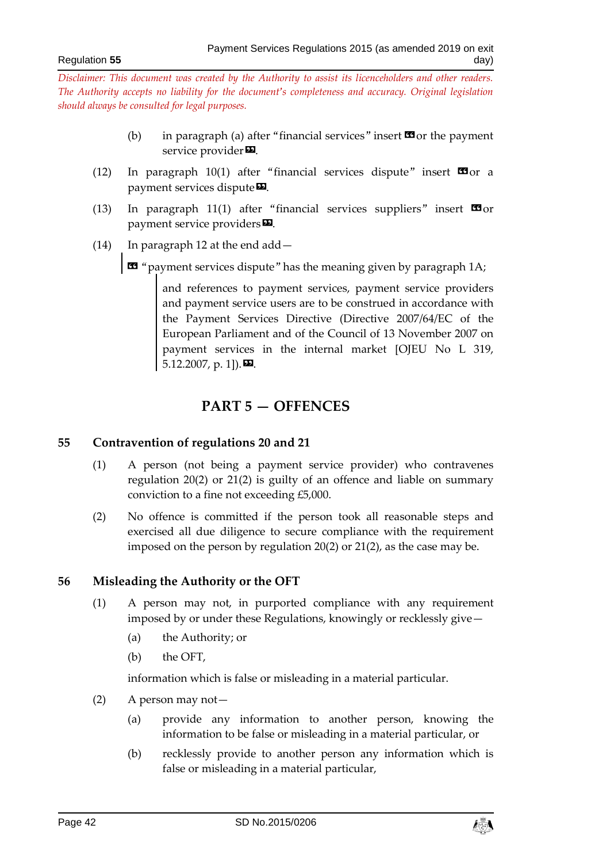- (b) in paragraph (a) after "financial services" insert  $\mathbf{\Omega}$  or the payment service provider<sup>D</sup>.
- (12) In paragraph 10(1) after "financial services dispute" insert  $\blacksquare$  or a payment services dispute  $\Sigma$ .
- (13) In paragraph 11(1) after "financial services suppliers" insert  $\Box$ or payment service providers  $\boldsymbol{\mathsf{E}}$ .
- (14) In paragraph 12 at the end add—

« "payment services dispute" has the meaning given by paragraph 1A;

and references to payment services, payment service providers and payment service users are to be construed in accordance with the Payment Services Directive (Directive 2007/64/EC of the European Parliament and of the Council of 13 November 2007 on payment services in the internal market [OJEU No L 319, 5.12.2007, p. 1]).

# **PART 5 — OFFENCES**

#### <span id="page-41-1"></span><span id="page-41-0"></span>**55 Contravention of regulations 20 and 21**

- (1) A person (not being a payment service provider) who contravenes regulation 20(2) or 21(2) is guilty of an offence and liable on summary conviction to a fine not exceeding £5,000.
- (2) No offence is committed if the person took all reasonable steps and exercised all due diligence to secure compliance with the requirement imposed on the person by regulation 20(2) or 21(2), as the case may be.

#### <span id="page-41-2"></span>**56 Misleading the Authority or the OFT**

- (1) A person may not, in purported compliance with any requirement imposed by or under these Regulations, knowingly or recklessly give—
	- (a) the Authority; or
	- (b) the OFT,

information which is false or misleading in a material particular.

- (2) A person may not—
	- (a) provide any information to another person, knowing the information to be false or misleading in a material particular, or
	- (b) recklessly provide to another person any information which is false or misleading in a material particular,

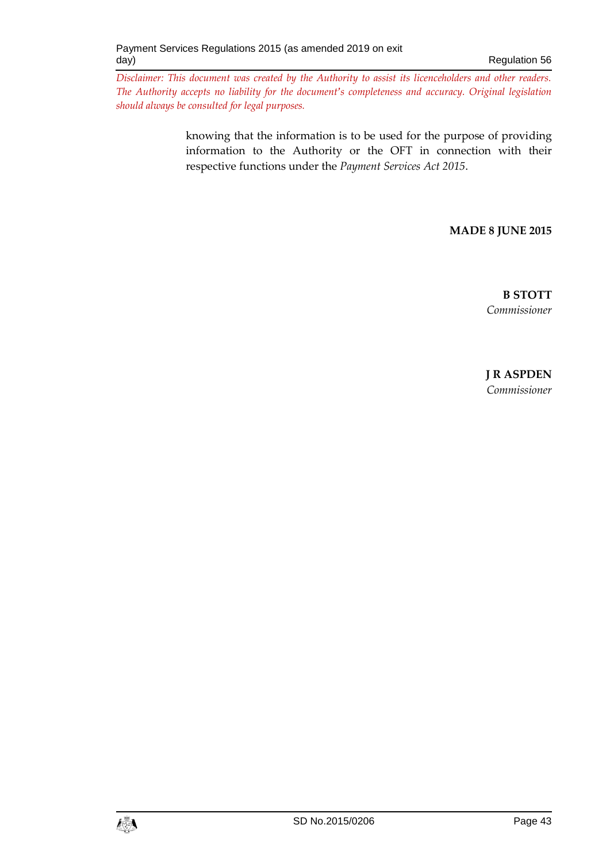> knowing that the information is to be used for the purpose of providing information to the Authority or the OFT in connection with their respective functions under the *Payment Services Act 2015*.

> > **MADE 8 JUNE 2015**

**B STOTT** *Commissioner*

**J R ASPDEN** *Commissioner*

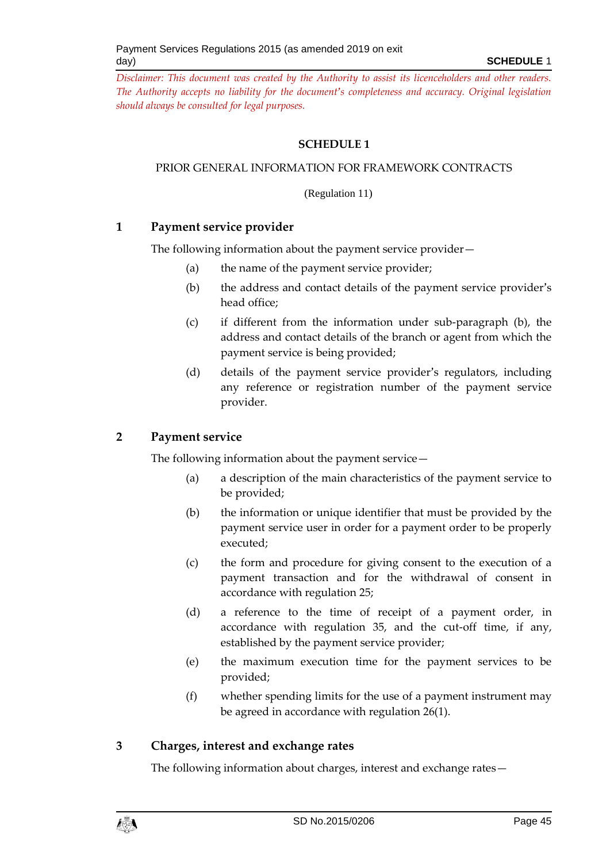## **SCHEDULE 1**

#### <span id="page-44-0"></span>PRIOR GENERAL INFORMATION FOR FRAMEWORK CONTRACTS

(Regulation 11)

## **1 Payment service provider**

The following information about the payment service provider—

- (a) the name of the payment service provider;
- (b) the address and contact details of the payment service provider's head office;
- (c) if different from the information under sub-paragraph (b), the address and contact details of the branch or agent from which the payment service is being provided;
- (d) details of the payment service provider's regulators, including any reference or registration number of the payment service provider.

## **2 Payment service**

The following information about the payment service—

- (a) a description of the main characteristics of the payment service to be provided;
- (b) the information or unique identifier that must be provided by the payment service user in order for a payment order to be properly executed;
- (c) the form and procedure for giving consent to the execution of a payment transaction and for the withdrawal of consent in accordance with regulation 25;
- (d) a reference to the time of receipt of a payment order, in accordance with regulation 35, and the cut-off time, if any, established by the payment service provider;
- (e) the maximum execution time for the payment services to be provided;
- (f) whether spending limits for the use of a payment instrument may be agreed in accordance with regulation 26(1).

# **3 Charges, interest and exchange rates**

The following information about charges, interest and exchange rates—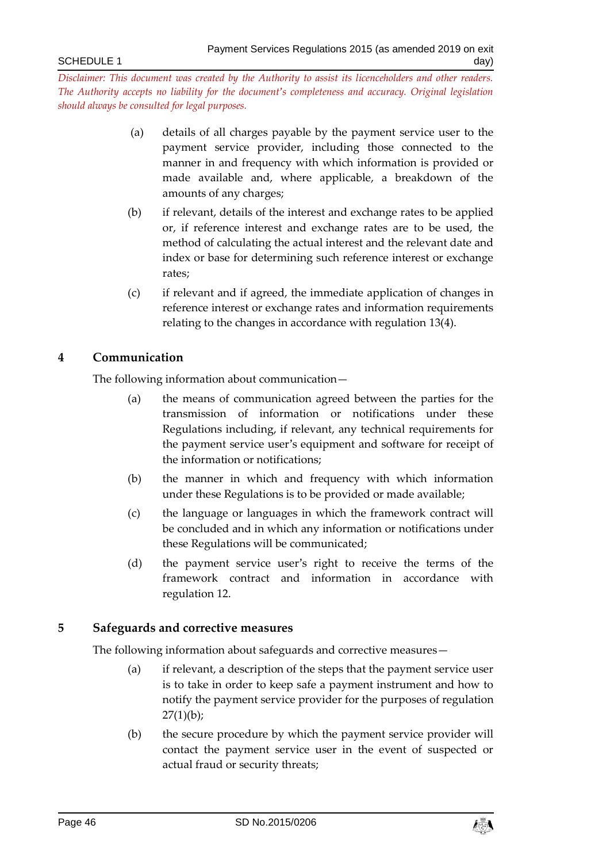- (a) details of all charges payable by the payment service user to the payment service provider, including those connected to the manner in and frequency with which information is provided or made available and, where applicable, a breakdown of the amounts of any charges;
- (b) if relevant, details of the interest and exchange rates to be applied or, if reference interest and exchange rates are to be used, the method of calculating the actual interest and the relevant date and index or base for determining such reference interest or exchange rates;
- (c) if relevant and if agreed, the immediate application of changes in reference interest or exchange rates and information requirements relating to the changes in accordance with regulation 13(4).

## **4 Communication**

The following information about communication—

- (a) the means of communication agreed between the parties for the transmission of information or notifications under these Regulations including, if relevant, any technical requirements for the payment service user's equipment and software for receipt of the information or notifications;
- (b) the manner in which and frequency with which information under these Regulations is to be provided or made available;
- (c) the language or languages in which the framework contract will be concluded and in which any information or notifications under these Regulations will be communicated;
- (d) the payment service user's right to receive the terms of the framework contract and information in accordance with regulation 12.

## **5 Safeguards and corrective measures**

The following information about safeguards and corrective measures—

- (a) if relevant, a description of the steps that the payment service user is to take in order to keep safe a payment instrument and how to notify the payment service provider for the purposes of regulation  $27(1)(b)$ ;
- (b) the secure procedure by which the payment service provider will contact the payment service user in the event of suspected or actual fraud or security threats;

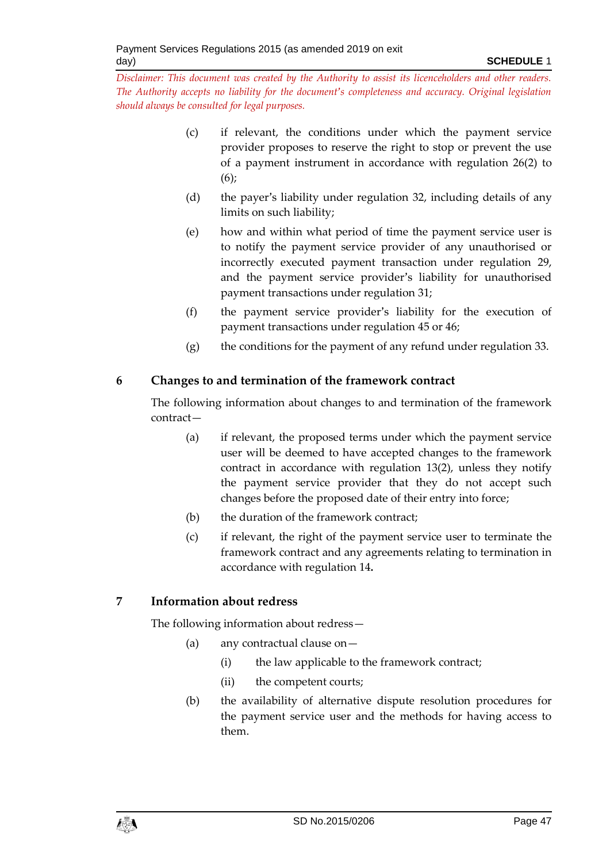- (c) if relevant, the conditions under which the payment service provider proposes to reserve the right to stop or prevent the use of a payment instrument in accordance with regulation 26(2) to  $(6)$ :
- (d) the payer's liability under regulation 32, including details of any limits on such liability;
- (e) how and within what period of time the payment service user is to notify the payment service provider of any unauthorised or incorrectly executed payment transaction under regulation 29, and the payment service provider's liability for unauthorised payment transactions under regulation 31;
- (f) the payment service provider's liability for the execution of payment transactions under regulation 45 or 46;
- (g) the conditions for the payment of any refund under regulation 33.

# **6 Changes to and termination of the framework contract**

The following information about changes to and termination of the framework contract—

- (a) if relevant, the proposed terms under which the payment service user will be deemed to have accepted changes to the framework contract in accordance with regulation 13(2), unless they notify the payment service provider that they do not accept such changes before the proposed date of their entry into force;
- (b) the duration of the framework contract;
- (c) if relevant, the right of the payment service user to terminate the framework contract and any agreements relating to termination in accordance with regulation 14**.**

# **7 Information about redress**

The following information about redress—

- (a) any contractual clause on—
	- (i) the law applicable to the framework contract;
	- (ii) the competent courts;
- (b) the availability of alternative dispute resolution procedures for the payment service user and the methods for having access to them.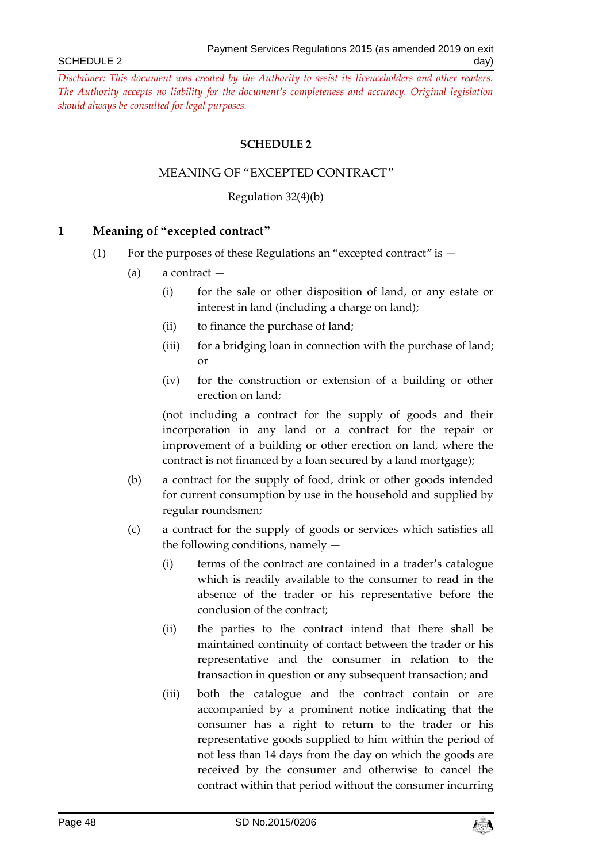#### **SCHEDULE 2**

#### MEANING OF "EXCEPTED CONTRACT"

Regulation 32(4)(b)

#### <span id="page-47-1"></span><span id="page-47-0"></span>**1 Meaning of "excepted contract"**

- (1) For the purposes of these Regulations an "excepted contract" is  $-$ 
	- (a) a contract
		- (i) for the sale or other disposition of land, or any estate or interest in land (including a charge on land);
		- (ii) to finance the purchase of land;
		- (iii) for a bridging loan in connection with the purchase of land; or
		- (iv) for the construction or extension of a building or other erection on land;

(not including a contract for the supply of goods and their incorporation in any land or a contract for the repair or improvement of a building or other erection on land, where the contract is not financed by a loan secured by a land mortgage);

- (b) a contract for the supply of food, drink or other goods intended for current consumption by use in the household and supplied by regular roundsmen;
- (c) a contract for the supply of goods or services which satisfies all the following conditions, namely —
	- (i) terms of the contract are contained in a trader's catalogue which is readily available to the consumer to read in the absence of the trader or his representative before the conclusion of the contract;
	- (ii) the parties to the contract intend that there shall be maintained continuity of contact between the trader or his representative and the consumer in relation to the transaction in question or any subsequent transaction; and
	- (iii) both the catalogue and the contract contain or are accompanied by a prominent notice indicating that the consumer has a right to return to the trader or his representative goods supplied to him within the period of not less than 14 days from the day on which the goods are received by the consumer and otherwise to cancel the contract within that period without the consumer incurring

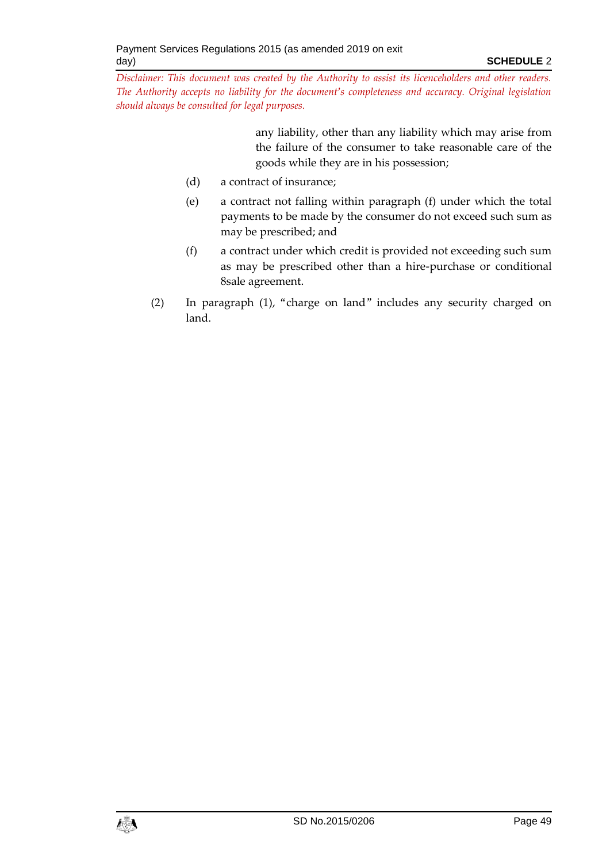> any liability, other than any liability which may arise from the failure of the consumer to take reasonable care of the goods while they are in his possession;

- (d) a contract of insurance;
- (e) a contract not falling within paragraph (f) under which the total payments to be made by the consumer do not exceed such sum as may be prescribed; and
- (f) a contract under which credit is provided not exceeding such sum as may be prescribed other than a hire-purchase or conditional 8sale agreement.
- (2) In paragraph (1), "charge on land" includes any security charged on land.